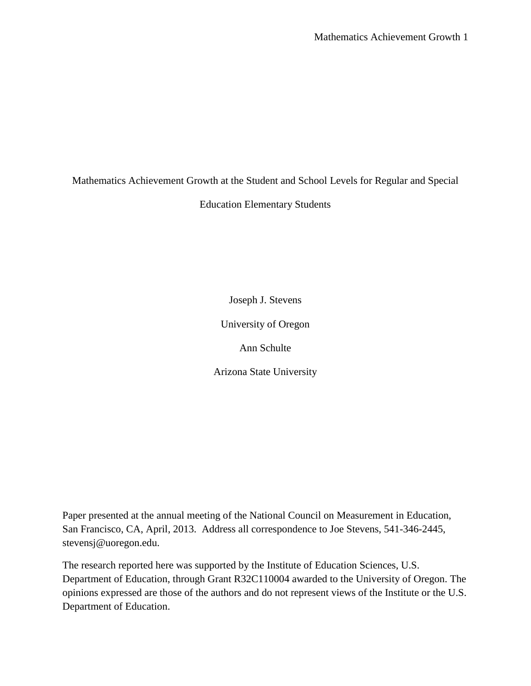Mathematics Achievement Growth at the Student and School Levels for Regular and Special

Education Elementary Students

Joseph J. Stevens

University of Oregon

Ann Schulte

Arizona State University

Paper presented at the annual meeting of the National Council on Measurement in Education, San Francisco, CA, April, 2013. Address all correspondence to Joe Stevens, 541-346-2445, stevensj@uoregon.edu.

The research reported here was supported by the Institute of Education Sciences, U.S. Department of Education, through Grant R32C110004 awarded to the University of Oregon. The opinions expressed are those of the authors and do not represent views of the Institute or the U.S. Department of Education.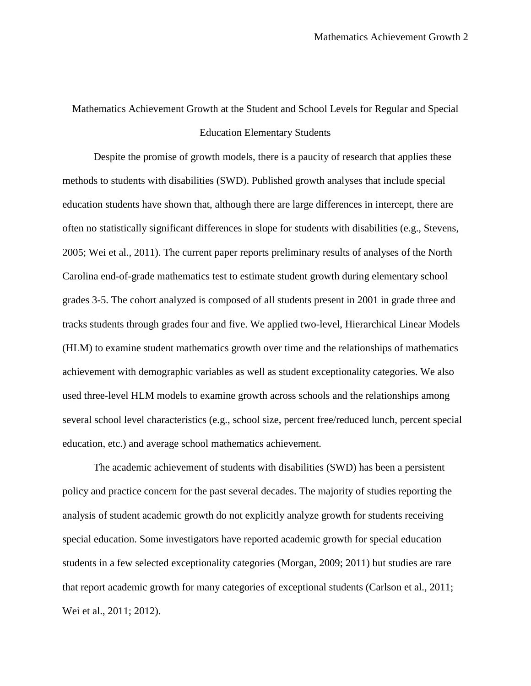# Mathematics Achievement Growth at the Student and School Levels for Regular and Special Education Elementary Students

Despite the promise of growth models, there is a paucity of research that applies these methods to students with disabilities (SWD). Published growth analyses that include special education students have shown that, although there are large differences in intercept, there are often no statistically significant differences in slope for students with disabilities (e.g., Stevens, 2005; Wei et al., 2011). The current paper reports preliminary results of analyses of the North Carolina end-of-grade mathematics test to estimate student growth during elementary school grades 3-5. The cohort analyzed is composed of all students present in 2001 in grade three and tracks students through grades four and five. We applied two-level, Hierarchical Linear Models (HLM) to examine student mathematics growth over time and the relationships of mathematics achievement with demographic variables as well as student exceptionality categories. We also used three-level HLM models to examine growth across schools and the relationships among several school level characteristics (e.g., school size, percent free/reduced lunch, percent special education, etc.) and average school mathematics achievement.

The academic achievement of students with disabilities (SWD) has been a persistent policy and practice concern for the past several decades. The majority of studies reporting the analysis of student academic growth do not explicitly analyze growth for students receiving special education. Some investigators have reported academic growth for special education students in a few selected exceptionality categories (Morgan, 2009; 2011) but studies are rare that report academic growth for many categories of exceptional students (Carlson et al., 2011; Wei et al., 2011; 2012).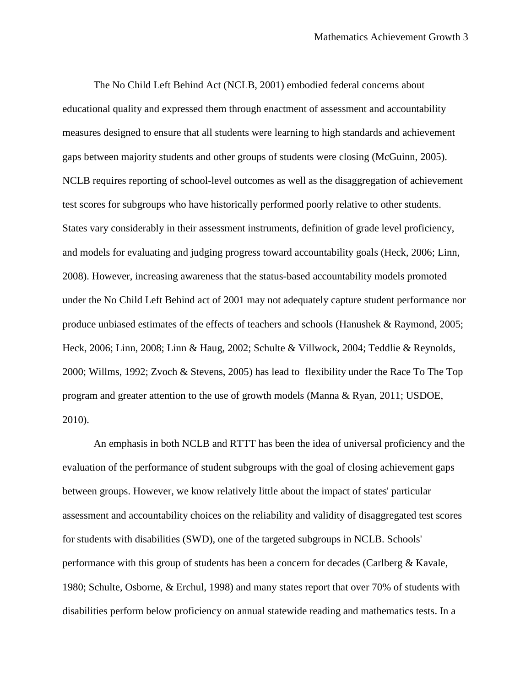The No Child Left Behind Act (NCLB, 2001) embodied federal concerns about educational quality and expressed them through enactment of assessment and accountability measures designed to ensure that all students were learning to high standards and achievement gaps between majority students and other groups of students were closing (McGuinn, 2005). NCLB requires reporting of school-level outcomes as well as the disaggregation of achievement test scores for subgroups who have historically performed poorly relative to other students. States vary considerably in their assessment instruments, definition of grade level proficiency, and models for evaluating and judging progress toward accountability goals (Heck, 2006; Linn, 2008). However, increasing awareness that the status-based accountability models promoted under the No Child Left Behind act of 2001 may not adequately capture student performance nor produce unbiased estimates of the effects of teachers and schools (Hanushek & Raymond, 2005; Heck, 2006; Linn, 2008; Linn & Haug, 2002; Schulte & Villwock, 2004; Teddlie & Reynolds, 2000; Willms, 1992; Zvoch & Stevens, 2005) has lead to flexibility under the Race To The Top program and greater attention to the use of growth models (Manna & Ryan, 2011; USDOE, 2010).

An emphasis in both NCLB and RTTT has been the idea of universal proficiency and the evaluation of the performance of student subgroups with the goal of closing achievement gaps between groups. However, we know relatively little about the impact of states' particular assessment and accountability choices on the reliability and validity of disaggregated test scores for students with disabilities (SWD), one of the targeted subgroups in NCLB. Schools' performance with this group of students has been a concern for decades (Carlberg & Kavale, 1980; Schulte, Osborne, & Erchul, 1998) and many states report that over 70% of students with disabilities perform below proficiency on annual statewide reading and mathematics tests. In a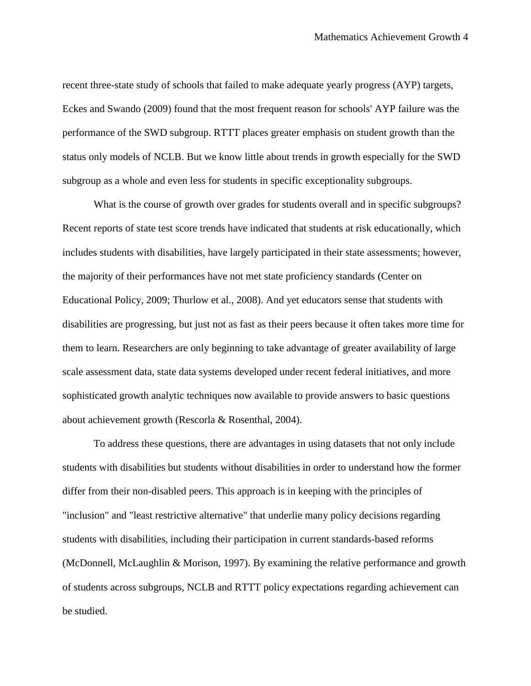recent three-state study of schools that failed to make adequate yearly progress (AYP) targets, Eckes and Swando (2009) found that the most frequent reason for schools' AYP failure was the performance of the SWD subgroup. RTTT places greater emphasis on student growth than the status only models of NCLB. But we know little about trends in growth especially for the SWD subgroup as a whole and even less for students in specific exceptionality subgroups.

What is the course of growth over grades for students overall and in specific subgroups? Recent reports of state test score trends have indicated that students at risk educationally, which includes students with disabilities, have largely participated in their state assessments; however, the majority of their performances have not met state proficiency standards (Center on Educational Policy, 2009; Thurlow et al., 2008). And yet educators sense that students with disabilities are progressing, but just not as fast as their peers because it often takes more time for them to learn. Researchers are only beginning to take advantage of greater availability of large scale assessment data, state data systems developed under recent federal initiatives, and more sophisticated growth analytic techniques now available to provide answers to basic questions about achievement growth (Rescorla & Rosenthal, 2004).

To address these questions, there are advantages in using datasets that not only include students with disabilities but students without disabilities in order to understand how the former differ from their non-disabled peers. This approach is in keeping with the principles of "inclusion" and "least restrictive alternative" that underlie many policy decisions regarding students with disabilities, including their participation in current standards-based reforms (McDonnell, McLaughlin & Morison, 1997). By examining the relative performance and growth of students across subgroups, NCLB and RTTT policy expectations regarding achievement can be studied.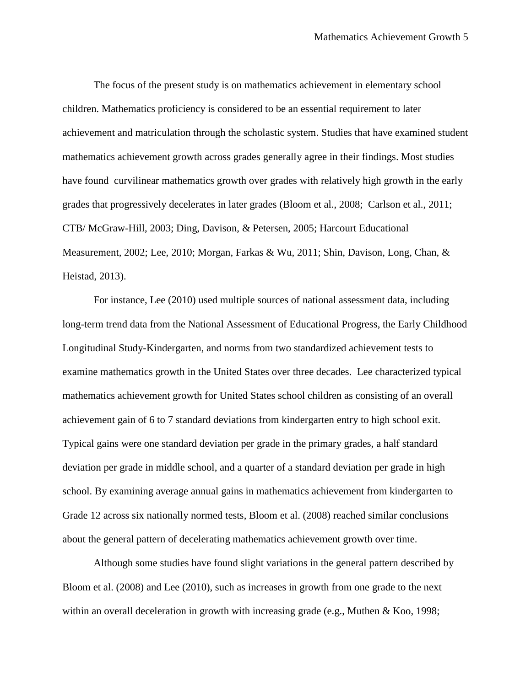The focus of the present study is on mathematics achievement in elementary school children. Mathematics proficiency is considered to be an essential requirement to later achievement and matriculation through the scholastic system. Studies that have examined student mathematics achievement growth across grades generally agree in their findings. Most studies have found curvilinear mathematics growth over grades with relatively high growth in the early grades that progressively decelerates in later grades (Bloom et al., 2008; Carlson et al., 2011; CTB/ McGraw-Hill, 2003; Ding, Davison, & Petersen, 2005; Harcourt Educational Measurement, 2002; Lee, 2010; Morgan, Farkas & Wu, 2011; Shin, Davison, Long, Chan, & Heistad, 2013).

For instance, Lee (2010) used multiple sources of national assessment data, including long-term trend data from the National Assessment of Educational Progress, the Early Childhood Longitudinal Study-Kindergarten, and norms from two standardized achievement tests to examine mathematics growth in the United States over three decades. Lee characterized typical mathematics achievement growth for United States school children as consisting of an overall achievement gain of 6 to 7 standard deviations from kindergarten entry to high school exit. Typical gains were one standard deviation per grade in the primary grades, a half standard deviation per grade in middle school, and a quarter of a standard deviation per grade in high school. By examining average annual gains in mathematics achievement from kindergarten to Grade 12 across six nationally normed tests, Bloom et al. (2008) reached similar conclusions about the general pattern of decelerating mathematics achievement growth over time.

Although some studies have found slight variations in the general pattern described by Bloom et al. (2008) and Lee (2010), such as increases in growth from one grade to the next within an overall deceleration in growth with increasing grade (e.g., Muthen & Koo, 1998;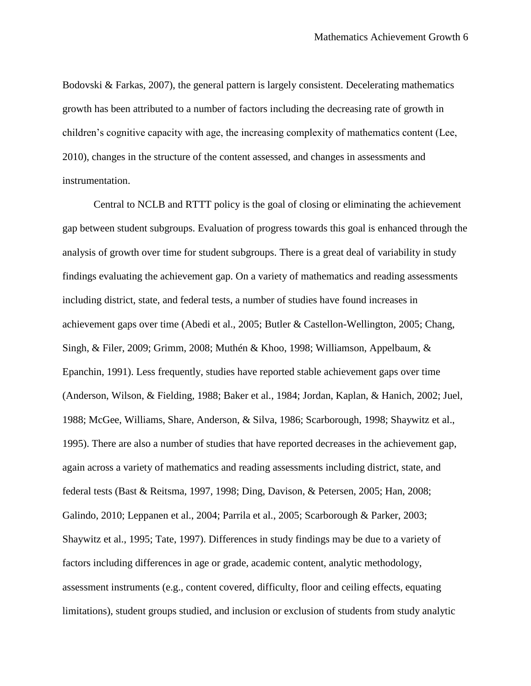Bodovski & Farkas, 2007), the general pattern is largely consistent. Decelerating mathematics growth has been attributed to a number of factors including the decreasing rate of growth in children's cognitive capacity with age, the increasing complexity of mathematics content (Lee, 2010), changes in the structure of the content assessed, and changes in assessments and instrumentation.

Central to NCLB and RTTT policy is the goal of closing or eliminating the achievement gap between student subgroups. Evaluation of progress towards this goal is enhanced through the analysis of growth over time for student subgroups. There is a great deal of variability in study findings evaluating the achievement gap. On a variety of mathematics and reading assessments including district, state, and federal tests, a number of studies have found increases in achievement gaps over time (Abedi et al., 2005; Butler & Castellon-Wellington, 2005; Chang, Singh, & Filer, 2009; Grimm, 2008; Muthén & Khoo, 1998; Williamson, Appelbaum, & Epanchin, 1991). Less frequently, studies have reported stable achievement gaps over time (Anderson, Wilson, & Fielding, 1988; Baker et al., 1984; Jordan, Kaplan, & Hanich, 2002; Juel, 1988; McGee, Williams, Share, Anderson, & Silva, 1986; Scarborough, 1998; Shaywitz et al., 1995). There are also a number of studies that have reported decreases in the achievement gap, again across a variety of mathematics and reading assessments including district, state, and federal tests (Bast & Reitsma, 1997, 1998; Ding, Davison, & Petersen, 2005; Han, 2008; Galindo, 2010; Leppanen et al., 2004; Parrila et al., 2005; Scarborough & Parker, 2003; Shaywitz et al., 1995; Tate, 1997). Differences in study findings may be due to a variety of factors including differences in age or grade, academic content, analytic methodology, assessment instruments (e.g., content covered, difficulty, floor and ceiling effects, equating limitations), student groups studied, and inclusion or exclusion of students from study analytic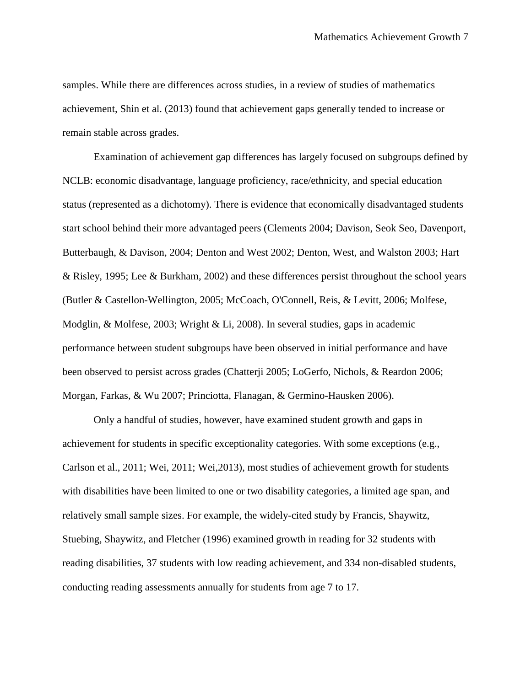samples. While there are differences across studies, in a review of studies of mathematics achievement, Shin et al. (2013) found that achievement gaps generally tended to increase or remain stable across grades.

Examination of achievement gap differences has largely focused on subgroups defined by NCLB: economic disadvantage, language proficiency, race/ethnicity, and special education status (represented as a dichotomy). There is evidence that economically disadvantaged students start school behind their more advantaged peers (Clements 2004; Davison, Seok Seo, Davenport, Butterbaugh, & Davison, 2004; Denton and West 2002; Denton, West, and Walston 2003; Hart & Risley, 1995; Lee & Burkham, 2002) and these differences persist throughout the school years (Butler & Castellon-Wellington, 2005; McCoach, O'Connell, Reis, & Levitt, 2006; Molfese, Modglin, & Molfese, 2003; Wright & Li, 2008). In several studies, gaps in academic performance between student subgroups have been observed in initial performance and have been observed to persist across grades (Chatterji 2005; LoGerfo, Nichols, & Reardon 2006; Morgan, Farkas, & Wu 2007; Princiotta, Flanagan, & Germino-Hausken 2006).

Only a handful of studies, however, have examined student growth and gaps in achievement for students in specific exceptionality categories. With some exceptions (e.g., Carlson et al., 2011; Wei, 2011; Wei,2013), most studies of achievement growth for students with disabilities have been limited to one or two disability categories, a limited age span, and relatively small sample sizes. For example, the widely-cited study by Francis, Shaywitz, Stuebing, Shaywitz, and Fletcher (1996) examined growth in reading for 32 students with reading disabilities, 37 students with low reading achievement, and 334 non-disabled students, conducting reading assessments annually for students from age 7 to 17.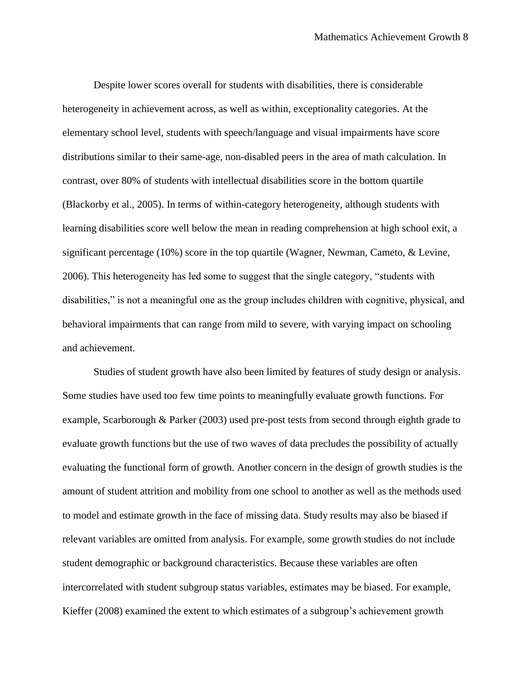Despite lower scores overall for students with disabilities, there is considerable heterogeneity in achievement across, as well as within, exceptionality categories. At the elementary school level, students with speech/language and visual impairments have score distributions similar to their same-age, non-disabled peers in the area of math calculation. In contrast, over 80% of students with intellectual disabilities score in the bottom quartile (Blackorby et al., 2005). In terms of within-category heterogeneity, although students with learning disabilities score well below the mean in reading comprehension at high school exit, a significant percentage (10%) score in the top quartile (Wagner, Newman, Cameto, & Levine, 2006). This heterogeneity has led some to suggest that the single category, "students with disabilities," is not a meaningful one as the group includes children with cognitive, physical, and behavioral impairments that can range from mild to severe, with varying impact on schooling and achievement.

Studies of student growth have also been limited by features of study design or analysis. Some studies have used too few time points to meaningfully evaluate growth functions. For example, Scarborough & Parker (2003) used pre-post tests from second through eighth grade to evaluate growth functions but the use of two waves of data precludes the possibility of actually evaluating the functional form of growth. Another concern in the design of growth studies is the amount of student attrition and mobility from one school to another as well as the methods used to model and estimate growth in the face of missing data. Study results may also be biased if relevant variables are omitted from analysis. For example, some growth studies do not include student demographic or background characteristics. Because these variables are often intercorrelated with student subgroup status variables, estimates may be biased. For example, Kieffer (2008) examined the extent to which estimates of a subgroup's achievement growth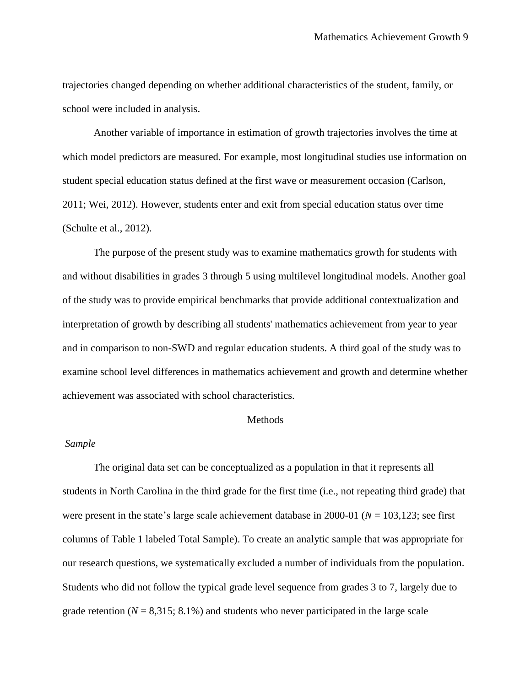trajectories changed depending on whether additional characteristics of the student, family, or school were included in analysis.

Another variable of importance in estimation of growth trajectories involves the time at which model predictors are measured. For example, most longitudinal studies use information on student special education status defined at the first wave or measurement occasion (Carlson, 2011; Wei, 2012). However, students enter and exit from special education status over time (Schulte et al., 2012).

The purpose of the present study was to examine mathematics growth for students with and without disabilities in grades 3 through 5 using multilevel longitudinal models. Another goal of the study was to provide empirical benchmarks that provide additional contextualization and interpretation of growth by describing all students' mathematics achievement from year to year and in comparison to non-SWD and regular education students. A third goal of the study was to examine school level differences in mathematics achievement and growth and determine whether achievement was associated with school characteristics.

#### Methods

#### *Sample*

The original data set can be conceptualized as a population in that it represents all students in North Carolina in the third grade for the first time (i.e., not repeating third grade) that were present in the state's large scale achievement database in 2000-01 (*N* = 103,123; see first columns of Table 1 labeled Total Sample). To create an analytic sample that was appropriate for our research questions, we systematically excluded a number of individuals from the population. Students who did not follow the typical grade level sequence from grades 3 to 7, largely due to grade retention ( $N = 8,315; 8.1\%$ ) and students who never participated in the large scale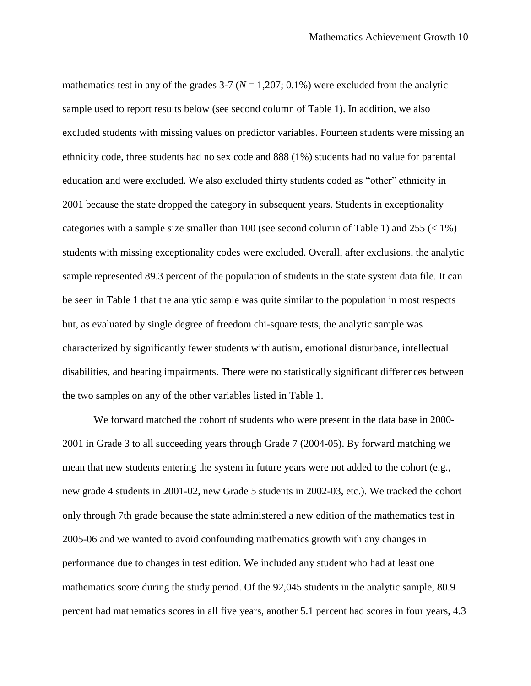mathematics test in any of the grades  $3-7$  ( $N = 1,207; 0.1\%$ ) were excluded from the analytic sample used to report results below (see second column of Table 1). In addition, we also excluded students with missing values on predictor variables. Fourteen students were missing an ethnicity code, three students had no sex code and 888 (1%) students had no value for parental education and were excluded. We also excluded thirty students coded as "other" ethnicity in 2001 because the state dropped the category in subsequent years. Students in exceptionality categories with a sample size smaller than 100 (see second column of Table 1) and  $255 \le 1\%$ ) students with missing exceptionality codes were excluded. Overall, after exclusions, the analytic sample represented 89.3 percent of the population of students in the state system data file. It can be seen in Table 1 that the analytic sample was quite similar to the population in most respects but, as evaluated by single degree of freedom chi-square tests, the analytic sample was characterized by significantly fewer students with autism, emotional disturbance, intellectual disabilities, and hearing impairments. There were no statistically significant differences between the two samples on any of the other variables listed in Table 1.

We forward matched the cohort of students who were present in the data base in 2000- 2001 in Grade 3 to all succeeding years through Grade 7 (2004-05). By forward matching we mean that new students entering the system in future years were not added to the cohort (e.g., new grade 4 students in 2001-02, new Grade 5 students in 2002-03, etc.). We tracked the cohort only through 7th grade because the state administered a new edition of the mathematics test in 2005-06 and we wanted to avoid confounding mathematics growth with any changes in performance due to changes in test edition. We included any student who had at least one mathematics score during the study period. Of the 92,045 students in the analytic sample, 80.9 percent had mathematics scores in all five years, another 5.1 percent had scores in four years, 4.3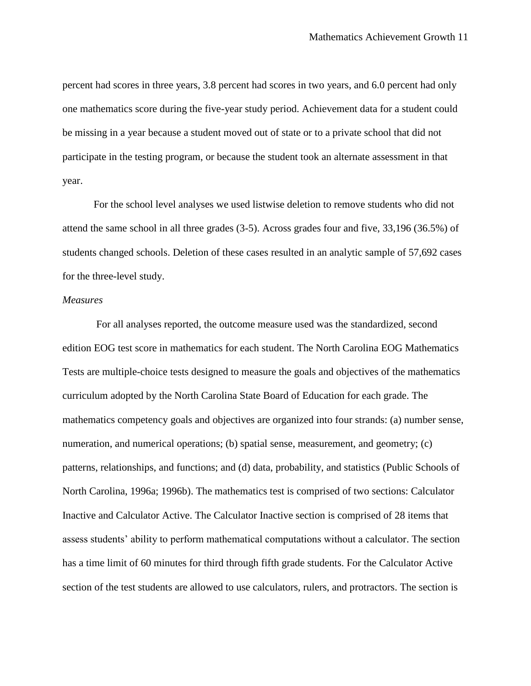percent had scores in three years, 3.8 percent had scores in two years, and 6.0 percent had only one mathematics score during the five-year study period. Achievement data for a student could be missing in a year because a student moved out of state or to a private school that did not participate in the testing program, or because the student took an alternate assessment in that year.

For the school level analyses we used listwise deletion to remove students who did not attend the same school in all three grades (3-5). Across grades four and five, 33,196 (36.5%) of students changed schools. Deletion of these cases resulted in an analytic sample of 57,692 cases for the three-level study.

#### *Measures*

For all analyses reported, the outcome measure used was the standardized, second edition EOG test score in mathematics for each student. The North Carolina EOG Mathematics Tests are multiple-choice tests designed to measure the goals and objectives of the mathematics curriculum adopted by the North Carolina State Board of Education for each grade. The mathematics competency goals and objectives are organized into four strands: (a) number sense, numeration, and numerical operations; (b) spatial sense, measurement, and geometry; (c) patterns, relationships, and functions; and (d) data, probability, and statistics (Public Schools of North Carolina, 1996a; 1996b). The mathematics test is comprised of two sections: Calculator Inactive and Calculator Active. The Calculator Inactive section is comprised of 28 items that assess students' ability to perform mathematical computations without a calculator. The section has a time limit of 60 minutes for third through fifth grade students. For the Calculator Active section of the test students are allowed to use calculators, rulers, and protractors. The section is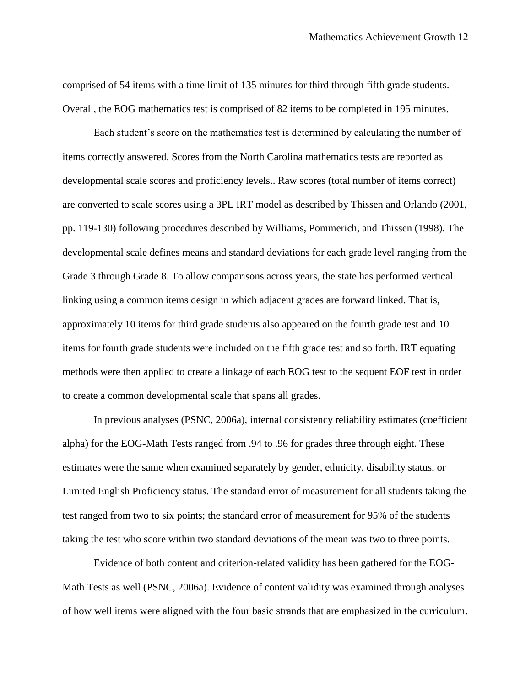comprised of 54 items with a time limit of 135 minutes for third through fifth grade students. Overall, the EOG mathematics test is comprised of 82 items to be completed in 195 minutes.

Each student's score on the mathematics test is determined by calculating the number of items correctly answered. Scores from the North Carolina mathematics tests are reported as developmental scale scores and proficiency levels.. Raw scores (total number of items correct) are converted to scale scores using a 3PL IRT model as described by Thissen and Orlando (2001, pp. 119-130) following procedures described by Williams, Pommerich, and Thissen (1998). The developmental scale defines means and standard deviations for each grade level ranging from the Grade 3 through Grade 8. To allow comparisons across years, the state has performed vertical linking using a common items design in which adjacent grades are forward linked. That is, approximately 10 items for third grade students also appeared on the fourth grade test and 10 items for fourth grade students were included on the fifth grade test and so forth. IRT equating methods were then applied to create a linkage of each EOG test to the sequent EOF test in order to create a common developmental scale that spans all grades.

In previous analyses (PSNC, 2006a), internal consistency reliability estimates (coefficient alpha) for the EOG-Math Tests ranged from .94 to .96 for grades three through eight. These estimates were the same when examined separately by gender, ethnicity, disability status, or Limited English Proficiency status. The standard error of measurement for all students taking the test ranged from two to six points; the standard error of measurement for 95% of the students taking the test who score within two standard deviations of the mean was two to three points.

Evidence of both content and criterion-related validity has been gathered for the EOG-Math Tests as well (PSNC, 2006a). Evidence of content validity was examined through analyses of how well items were aligned with the four basic strands that are emphasized in the curriculum.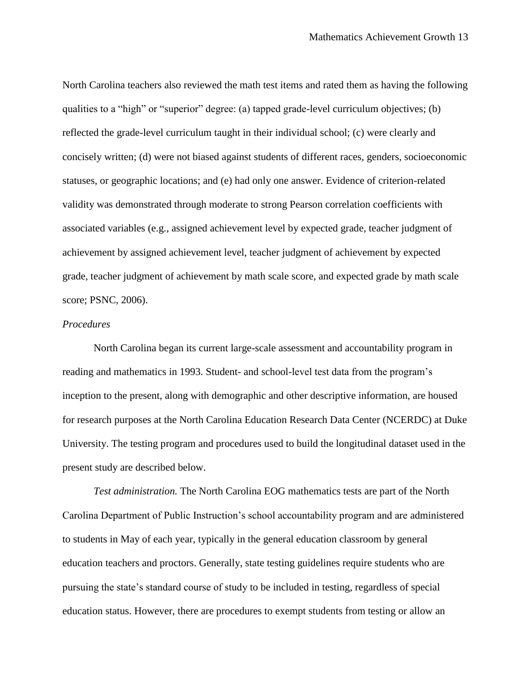North Carolina teachers also reviewed the math test items and rated them as having the following qualities to a "high" or "superior" degree: (a) tapped grade-level curriculum objectives; (b) reflected the grade-level curriculum taught in their individual school; (c) were clearly and concisely written; (d) were not biased against students of different races, genders, socioeconomic statuses, or geographic locations; and (e) had only one answer. Evidence of criterion-related validity was demonstrated through moderate to strong Pearson correlation coefficients with associated variables (e.g., assigned achievement level by expected grade, teacher judgment of achievement by assigned achievement level, teacher judgment of achievement by expected grade, teacher judgment of achievement by math scale score, and expected grade by math scale score; PSNC, 2006).

### *Procedures*

North Carolina began its current large-scale assessment and accountability program in reading and mathematics in 1993. Student- and school-level test data from the program's inception to the present, along with demographic and other descriptive information, are housed for research purposes at the North Carolina Education Research Data Center (NCERDC) at Duke University. The testing program and procedures used to build the longitudinal dataset used in the present study are described below.

*Test administration.* The North Carolina EOG mathematics tests are part of the North Carolina Department of Public Instruction's school accountability program and are administered to students in May of each year, typically in the general education classroom by general education teachers and proctors. Generally, state testing guidelines require students who are pursuing the state's standard course of study to be included in testing, regardless of special education status. However, there are procedures to exempt students from testing or allow an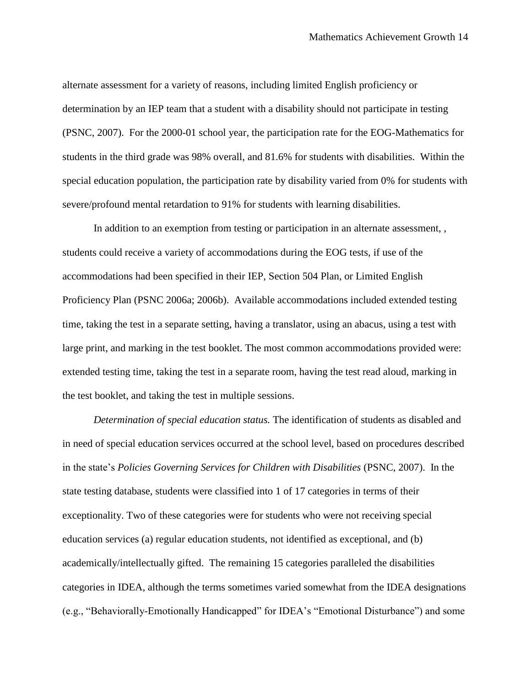alternate assessment for a variety of reasons, including limited English proficiency or determination by an IEP team that a student with a disability should not participate in testing (PSNC, 2007). For the 2000-01 school year, the participation rate for the EOG-Mathematics for students in the third grade was 98% overall, and 81.6% for students with disabilities. Within the special education population, the participation rate by disability varied from 0% for students with severe/profound mental retardation to 91% for students with learning disabilities.

In addition to an exemption from testing or participation in an alternate assessment, students could receive a variety of accommodations during the EOG tests, if use of the accommodations had been specified in their IEP, Section 504 Plan, or Limited English Proficiency Plan (PSNC 2006a; 2006b). Available accommodations included extended testing time, taking the test in a separate setting, having a translator, using an abacus, using a test with large print, and marking in the test booklet. The most common accommodations provided were: extended testing time, taking the test in a separate room, having the test read aloud, marking in the test booklet, and taking the test in multiple sessions.

*Determination of special education status.* The identification of students as disabled and in need of special education services occurred at the school level, based on procedures described in the state's *Policies Governing Services for Children with Disabilities* (PSNC, 2007). In the state testing database, students were classified into 1 of 17 categories in terms of their exceptionality. Two of these categories were for students who were not receiving special education services (a) regular education students, not identified as exceptional, and (b) academically/intellectually gifted. The remaining 15 categories paralleled the disabilities categories in IDEA, although the terms sometimes varied somewhat from the IDEA designations (e.g., "Behaviorally-Emotionally Handicapped" for IDEA's "Emotional Disturbance") and some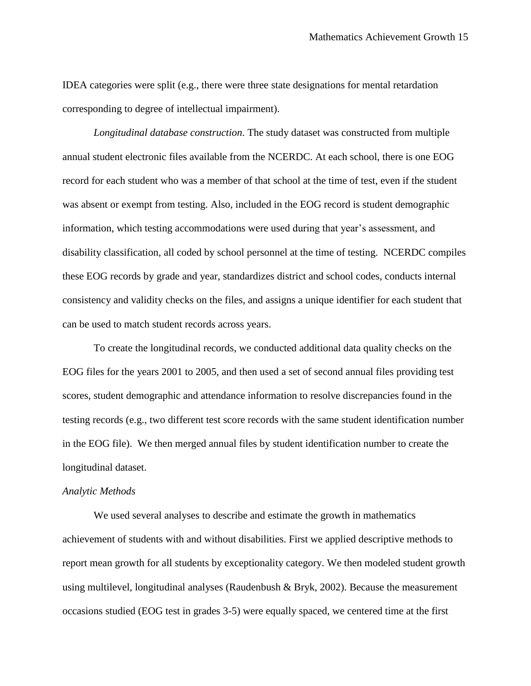IDEA categories were split (e.g., there were three state designations for mental retardation corresponding to degree of intellectual impairment).

*Longitudinal database construction*. The study dataset was constructed from multiple annual student electronic files available from the NCERDC. At each school, there is one EOG record for each student who was a member of that school at the time of test, even if the student was absent or exempt from testing. Also, included in the EOG record is student demographic information, which testing accommodations were used during that year's assessment, and disability classification, all coded by school personnel at the time of testing. NCERDC compiles these EOG records by grade and year, standardizes district and school codes, conducts internal consistency and validity checks on the files, and assigns a unique identifier for each student that can be used to match student records across years.

To create the longitudinal records, we conducted additional data quality checks on the EOG files for the years 2001 to 2005, and then used a set of second annual files providing test scores, student demographic and attendance information to resolve discrepancies found in the testing records (e.g., two different test score records with the same student identification number in the EOG file). We then merged annual files by student identification number to create the longitudinal dataset.

#### *Analytic Methods*

We used several analyses to describe and estimate the growth in mathematics achievement of students with and without disabilities. First we applied descriptive methods to report mean growth for all students by exceptionality category. We then modeled student growth using multilevel, longitudinal analyses (Raudenbush & Bryk, 2002). Because the measurement occasions studied (EOG test in grades 3-5) were equally spaced, we centered time at the first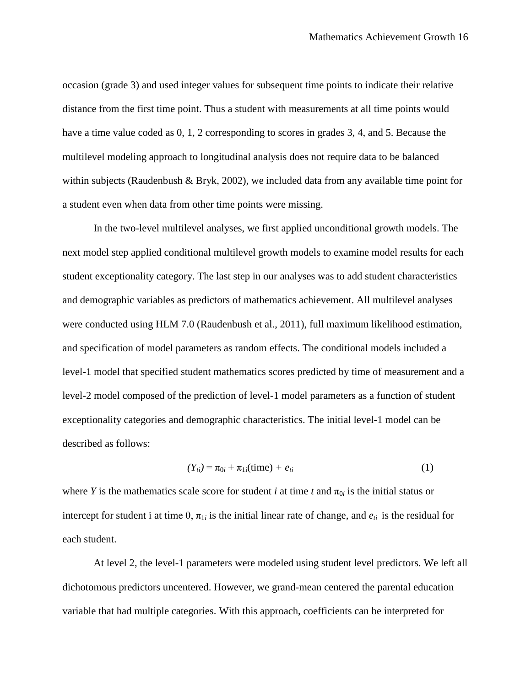occasion (grade 3) and used integer values for subsequent time points to indicate their relative distance from the first time point. Thus a student with measurements at all time points would have a time value coded as 0, 1, 2 corresponding to scores in grades 3, 4, and 5. Because the multilevel modeling approach to longitudinal analysis does not require data to be balanced within subjects (Raudenbush & Bryk, 2002), we included data from any available time point for a student even when data from other time points were missing.

In the two-level multilevel analyses, we first applied unconditional growth models. The next model step applied conditional multilevel growth models to examine model results for each student exceptionality category. The last step in our analyses was to add student characteristics and demographic variables as predictors of mathematics achievement. All multilevel analyses were conducted using HLM 7.0 (Raudenbush et al., 2011), full maximum likelihood estimation, and specification of model parameters as random effects. The conditional models included a level-1 model that specified student mathematics scores predicted by time of measurement and a level-2 model composed of the prediction of level-1 model parameters as a function of student exceptionality categories and demographic characteristics. The initial level-1 model can be described as follows:

$$
(Y_{ti}) = \pi_{0i} + \pi_{1i} \text{(time)} + e_{ti} \tag{1}
$$

where *Y* is the mathematics scale score for student *i* at time *t* and  $\pi_{0i}$  is the initial status or intercept for student i at time 0,  $\pi_{1i}$  is the initial linear rate of change, and  $e_{ti}$  is the residual for each student.

At level 2, the level-1 parameters were modeled using student level predictors. We left all dichotomous predictors uncentered. However, we grand-mean centered the parental education variable that had multiple categories. With this approach, coefficients can be interpreted for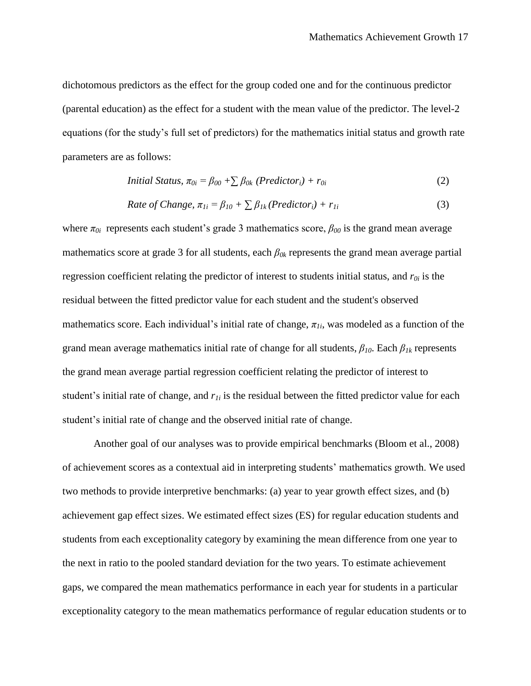dichotomous predictors as the effect for the group coded one and for the continuous predictor (parental education) as the effect for a student with the mean value of the predictor. The level-2 equations (for the study's full set of predictors) for the mathematics initial status and growth rate parameters are as follows:

Initial Status, 
$$
\pi_{0i} = \beta_{00} + \sum \beta_{0k}
$$
 (Predictor<sub>i</sub>) +  $r_{0i}$  (2)

Rate of Change, 
$$
\pi_{1i} = \beta_{10} + \sum \beta_{1k}
$$
 (Predictor<sub>i</sub>) +  $r_{1i}$  (3)

where  $\pi_{0i}$  represents each student's grade 3 mathematics score,  $\beta_{00}$  is the grand mean average mathematics score at grade 3 for all students, each *β0k* represents the grand mean average partial regression coefficient relating the predictor of interest to students initial status, and *r0i* is the residual between the fitted predictor value for each student and the student's observed mathematics score. Each individual's initial rate of change,  $\pi_{1i}$ , was modeled as a function of the grand mean average mathematics initial rate of change for all students, *β10*. Each *β1k* represents the grand mean average partial regression coefficient relating the predictor of interest to student's initial rate of change, and *r1i* is the residual between the fitted predictor value for each student's initial rate of change and the observed initial rate of change.

Another goal of our analyses was to provide empirical benchmarks (Bloom et al., 2008) of achievement scores as a contextual aid in interpreting students' mathematics growth. We used two methods to provide interpretive benchmarks: (a) year to year growth effect sizes, and (b) achievement gap effect sizes. We estimated effect sizes (ES) for regular education students and students from each exceptionality category by examining the mean difference from one year to the next in ratio to the pooled standard deviation for the two years. To estimate achievement gaps, we compared the mean mathematics performance in each year for students in a particular exceptionality category to the mean mathematics performance of regular education students or to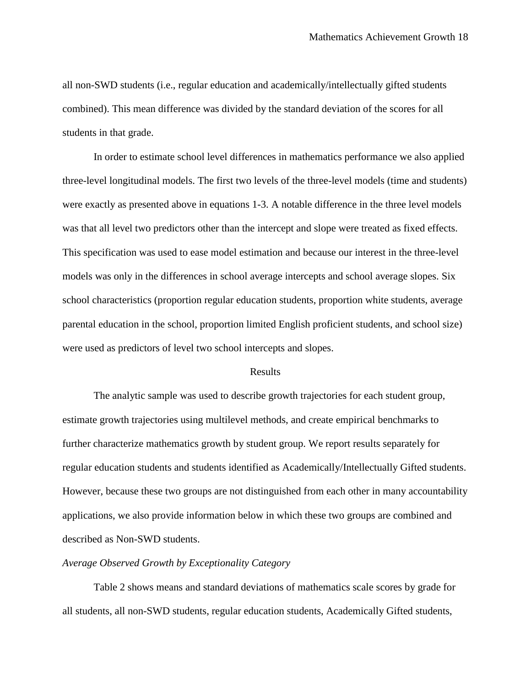all non-SWD students (i.e., regular education and academically/intellectually gifted students combined). This mean difference was divided by the standard deviation of the scores for all students in that grade.

In order to estimate school level differences in mathematics performance we also applied three-level longitudinal models. The first two levels of the three-level models (time and students) were exactly as presented above in equations 1-3. A notable difference in the three level models was that all level two predictors other than the intercept and slope were treated as fixed effects. This specification was used to ease model estimation and because our interest in the three-level models was only in the differences in school average intercepts and school average slopes. Six school characteristics (proportion regular education students, proportion white students, average parental education in the school, proportion limited English proficient students, and school size) were used as predictors of level two school intercepts and slopes.

#### Results

The analytic sample was used to describe growth trajectories for each student group, estimate growth trajectories using multilevel methods, and create empirical benchmarks to further characterize mathematics growth by student group. We report results separately for regular education students and students identified as Academically/Intellectually Gifted students. However, because these two groups are not distinguished from each other in many accountability applications, we also provide information below in which these two groups are combined and described as Non-SWD students.

#### *Average Observed Growth by Exceptionality Category*

Table 2 shows means and standard deviations of mathematics scale scores by grade for all students, all non-SWD students, regular education students, Academically Gifted students,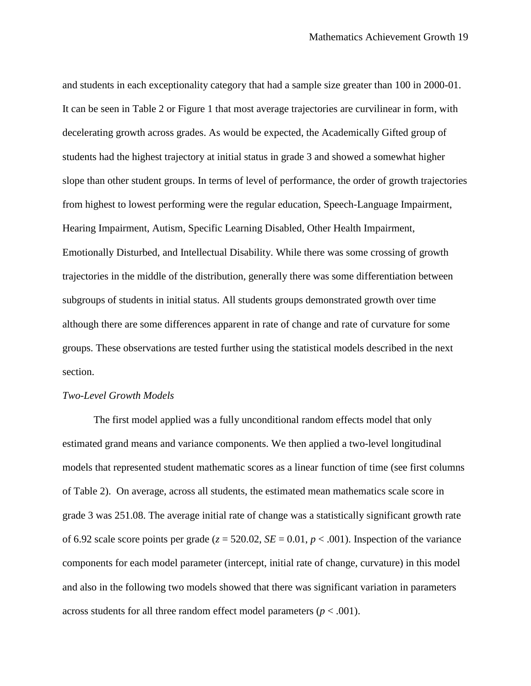and students in each exceptionality category that had a sample size greater than 100 in 2000-01. It can be seen in Table 2 or Figure 1 that most average trajectories are curvilinear in form, with decelerating growth across grades. As would be expected, the Academically Gifted group of students had the highest trajectory at initial status in grade 3 and showed a somewhat higher slope than other student groups. In terms of level of performance, the order of growth trajectories from highest to lowest performing were the regular education, Speech-Language Impairment, Hearing Impairment, Autism, Specific Learning Disabled, Other Health Impairment, Emotionally Disturbed, and Intellectual Disability. While there was some crossing of growth trajectories in the middle of the distribution, generally there was some differentiation between subgroups of students in initial status. All students groups demonstrated growth over time although there are some differences apparent in rate of change and rate of curvature for some groups. These observations are tested further using the statistical models described in the next section.

#### *Two-Level Growth Models*

The first model applied was a fully unconditional random effects model that only estimated grand means and variance components. We then applied a two-level longitudinal models that represented student mathematic scores as a linear function of time (see first columns of Table 2). On average, across all students, the estimated mean mathematics scale score in grade 3 was 251.08. The average initial rate of change was a statistically significant growth rate of 6.92 scale score points per grade ( $z = 520.02$ ,  $SE = 0.01$ ,  $p < .001$ ). Inspection of the variance components for each model parameter (intercept, initial rate of change, curvature) in this model and also in the following two models showed that there was significant variation in parameters across students for all three random effect model parameters ( $p < .001$ ).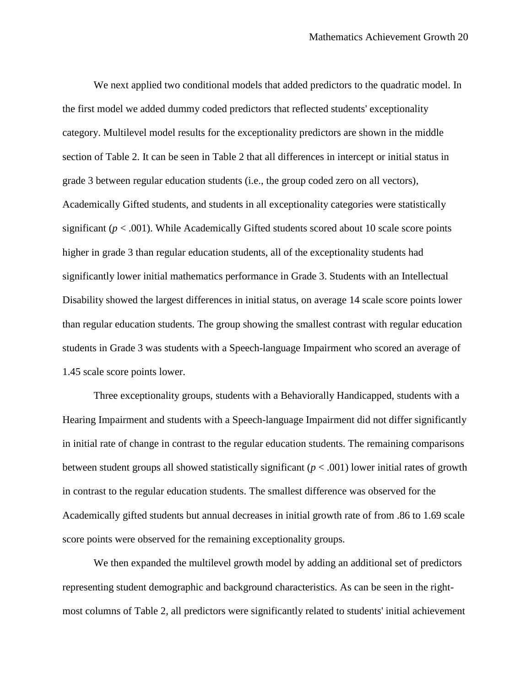We next applied two conditional models that added predictors to the quadratic model. In the first model we added dummy coded predictors that reflected students' exceptionality category. Multilevel model results for the exceptionality predictors are shown in the middle section of Table 2. It can be seen in Table 2 that all differences in intercept or initial status in grade 3 between regular education students (i.e., the group coded zero on all vectors), Academically Gifted students, and students in all exceptionality categories were statistically significant ( $p < .001$ ). While Academically Gifted students scored about 10 scale score points higher in grade 3 than regular education students, all of the exceptionality students had significantly lower initial mathematics performance in Grade 3. Students with an Intellectual Disability showed the largest differences in initial status, on average 14 scale score points lower than regular education students. The group showing the smallest contrast with regular education students in Grade 3 was students with a Speech-language Impairment who scored an average of 1.45 scale score points lower.

Three exceptionality groups, students with a Behaviorally Handicapped, students with a Hearing Impairment and students with a Speech-language Impairment did not differ significantly in initial rate of change in contrast to the regular education students. The remaining comparisons between student groups all showed statistically significant (*p* < .001) lower initial rates of growth in contrast to the regular education students. The smallest difference was observed for the Academically gifted students but annual decreases in initial growth rate of from .86 to 1.69 scale score points were observed for the remaining exceptionality groups.

We then expanded the multilevel growth model by adding an additional set of predictors representing student demographic and background characteristics. As can be seen in the rightmost columns of Table 2, all predictors were significantly related to students' initial achievement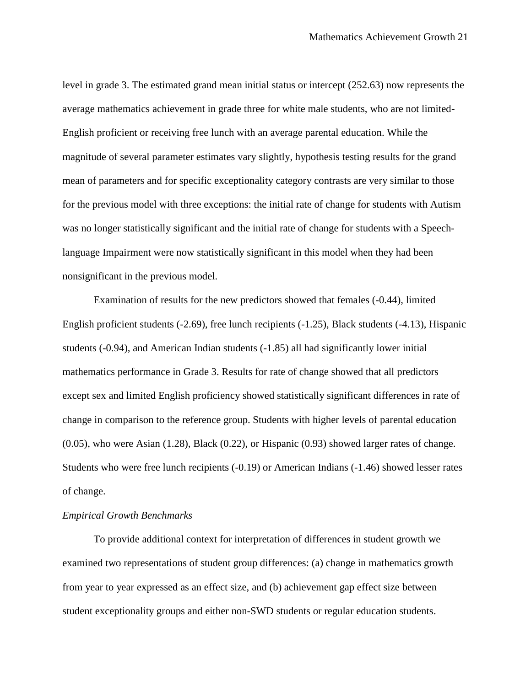level in grade 3. The estimated grand mean initial status or intercept (252.63) now represents the average mathematics achievement in grade three for white male students, who are not limited-English proficient or receiving free lunch with an average parental education. While the magnitude of several parameter estimates vary slightly, hypothesis testing results for the grand mean of parameters and for specific exceptionality category contrasts are very similar to those for the previous model with three exceptions: the initial rate of change for students with Autism was no longer statistically significant and the initial rate of change for students with a Speechlanguage Impairment were now statistically significant in this model when they had been nonsignificant in the previous model.

Examination of results for the new predictors showed that females (-0.44), limited English proficient students (-2.69), free lunch recipients (-1.25), Black students (-4.13), Hispanic students (-0.94), and American Indian students (-1.85) all had significantly lower initial mathematics performance in Grade 3. Results for rate of change showed that all predictors except sex and limited English proficiency showed statistically significant differences in rate of change in comparison to the reference group. Students with higher levels of parental education (0.05), who were Asian (1.28), Black (0.22), or Hispanic (0.93) showed larger rates of change. Students who were free lunch recipients (-0.19) or American Indians (-1.46) showed lesser rates of change.

#### *Empirical Growth Benchmarks*

To provide additional context for interpretation of differences in student growth we examined two representations of student group differences: (a) change in mathematics growth from year to year expressed as an effect size, and (b) achievement gap effect size between student exceptionality groups and either non-SWD students or regular education students.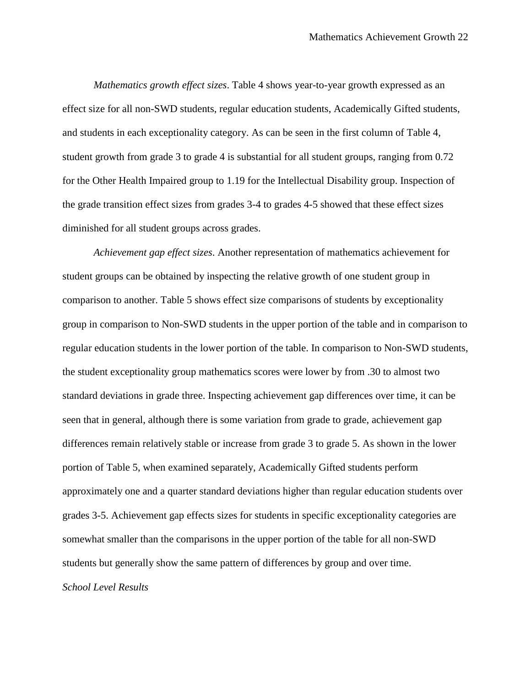*Mathematics growth effect sizes*. Table 4 shows year-to-year growth expressed as an effect size for all non-SWD students, regular education students, Academically Gifted students, and students in each exceptionality category. As can be seen in the first column of Table 4, student growth from grade 3 to grade 4 is substantial for all student groups, ranging from 0.72 for the Other Health Impaired group to 1.19 for the Intellectual Disability group. Inspection of the grade transition effect sizes from grades 3-4 to grades 4-5 showed that these effect sizes diminished for all student groups across grades.

*Achievement gap effect sizes*. Another representation of mathematics achievement for student groups can be obtained by inspecting the relative growth of one student group in comparison to another. Table 5 shows effect size comparisons of students by exceptionality group in comparison to Non-SWD students in the upper portion of the table and in comparison to regular education students in the lower portion of the table. In comparison to Non-SWD students, the student exceptionality group mathematics scores were lower by from .30 to almost two standard deviations in grade three. Inspecting achievement gap differences over time, it can be seen that in general, although there is some variation from grade to grade, achievement gap differences remain relatively stable or increase from grade 3 to grade 5. As shown in the lower portion of Table 5, when examined separately, Academically Gifted students perform approximately one and a quarter standard deviations higher than regular education students over grades 3-5. Achievement gap effects sizes for students in specific exceptionality categories are somewhat smaller than the comparisons in the upper portion of the table for all non-SWD students but generally show the same pattern of differences by group and over time. *School Level Results*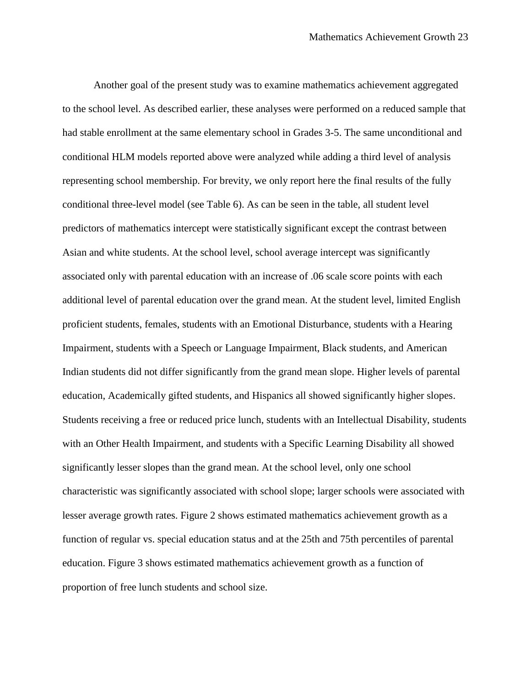Another goal of the present study was to examine mathematics achievement aggregated to the school level. As described earlier, these analyses were performed on a reduced sample that had stable enrollment at the same elementary school in Grades 3-5. The same unconditional and conditional HLM models reported above were analyzed while adding a third level of analysis representing school membership. For brevity, we only report here the final results of the fully conditional three-level model (see Table 6). As can be seen in the table, all student level predictors of mathematics intercept were statistically significant except the contrast between Asian and white students. At the school level, school average intercept was significantly associated only with parental education with an increase of .06 scale score points with each additional level of parental education over the grand mean. At the student level, limited English proficient students, females, students with an Emotional Disturbance, students with a Hearing Impairment, students with a Speech or Language Impairment, Black students, and American Indian students did not differ significantly from the grand mean slope. Higher levels of parental education, Academically gifted students, and Hispanics all showed significantly higher slopes. Students receiving a free or reduced price lunch, students with an Intellectual Disability, students with an Other Health Impairment, and students with a Specific Learning Disability all showed significantly lesser slopes than the grand mean. At the school level, only one school characteristic was significantly associated with school slope; larger schools were associated with lesser average growth rates. Figure 2 shows estimated mathematics achievement growth as a function of regular vs. special education status and at the 25th and 75th percentiles of parental education. Figure 3 shows estimated mathematics achievement growth as a function of proportion of free lunch students and school size.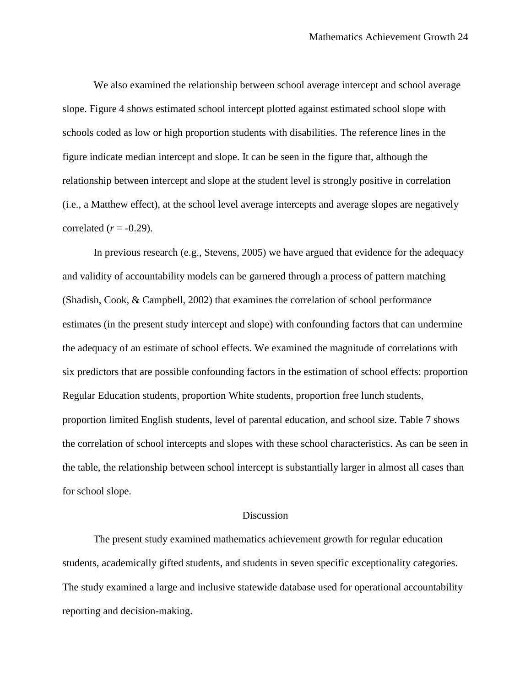We also examined the relationship between school average intercept and school average slope. Figure 4 shows estimated school intercept plotted against estimated school slope with schools coded as low or high proportion students with disabilities. The reference lines in the figure indicate median intercept and slope. It can be seen in the figure that, although the relationship between intercept and slope at the student level is strongly positive in correlation (i.e., a Matthew effect), at the school level average intercepts and average slopes are negatively correlated  $(r = -0.29)$ .

In previous research (e.g., Stevens, 2005) we have argued that evidence for the adequacy and validity of accountability models can be garnered through a process of pattern matching (Shadish, Cook, & Campbell, 2002) that examines the correlation of school performance estimates (in the present study intercept and slope) with confounding factors that can undermine the adequacy of an estimate of school effects. We examined the magnitude of correlations with six predictors that are possible confounding factors in the estimation of school effects: proportion Regular Education students, proportion White students, proportion free lunch students, proportion limited English students, level of parental education, and school size. Table 7 shows the correlation of school intercepts and slopes with these school characteristics. As can be seen in the table, the relationship between school intercept is substantially larger in almost all cases than for school slope.

#### **Discussion**

The present study examined mathematics achievement growth for regular education students, academically gifted students, and students in seven specific exceptionality categories. The study examined a large and inclusive statewide database used for operational accountability reporting and decision-making.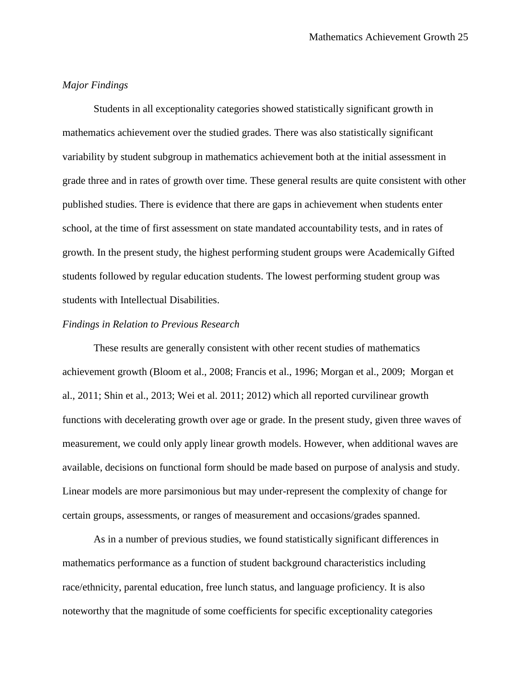#### *Major Findings*

Students in all exceptionality categories showed statistically significant growth in mathematics achievement over the studied grades. There was also statistically significant variability by student subgroup in mathematics achievement both at the initial assessment in grade three and in rates of growth over time. These general results are quite consistent with other published studies. There is evidence that there are gaps in achievement when students enter school, at the time of first assessment on state mandated accountability tests, and in rates of growth. In the present study, the highest performing student groups were Academically Gifted students followed by regular education students. The lowest performing student group was students with Intellectual Disabilities.

#### *Findings in Relation to Previous Research*

These results are generally consistent with other recent studies of mathematics achievement growth (Bloom et al., 2008; Francis et al., 1996; Morgan et al., 2009; Morgan et al., 2011; Shin et al., 2013; Wei et al. 2011; 2012) which all reported curvilinear growth functions with decelerating growth over age or grade. In the present study, given three waves of measurement, we could only apply linear growth models. However, when additional waves are available, decisions on functional form should be made based on purpose of analysis and study. Linear models are more parsimonious but may under-represent the complexity of change for certain groups, assessments, or ranges of measurement and occasions/grades spanned.

As in a number of previous studies, we found statistically significant differences in mathematics performance as a function of student background characteristics including race/ethnicity, parental education, free lunch status, and language proficiency. It is also noteworthy that the magnitude of some coefficients for specific exceptionality categories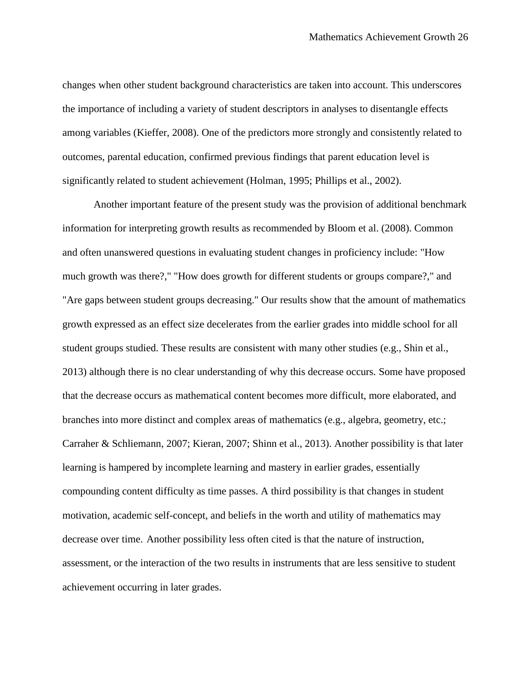changes when other student background characteristics are taken into account. This underscores the importance of including a variety of student descriptors in analyses to disentangle effects among variables (Kieffer, 2008). One of the predictors more strongly and consistently related to outcomes, parental education, confirmed previous findings that parent education level is significantly related to student achievement (Holman, 1995; Phillips et al., 2002).

Another important feature of the present study was the provision of additional benchmark information for interpreting growth results as recommended by Bloom et al. (2008). Common and often unanswered questions in evaluating student changes in proficiency include: "How much growth was there?," "How does growth for different students or groups compare?," and "Are gaps between student groups decreasing." Our results show that the amount of mathematics growth expressed as an effect size decelerates from the earlier grades into middle school for all student groups studied. These results are consistent with many other studies (e.g., Shin et al., 2013) although there is no clear understanding of why this decrease occurs. Some have proposed that the decrease occurs as mathematical content becomes more difficult, more elaborated, and branches into more distinct and complex areas of mathematics (e.g., algebra, geometry, etc.; Carraher & Schliemann, 2007; Kieran, 2007; Shinn et al., 2013). Another possibility is that later learning is hampered by incomplete learning and mastery in earlier grades, essentially compounding content difficulty as time passes. A third possibility is that changes in student motivation, academic self-concept, and beliefs in the worth and utility of mathematics may decrease over time. Another possibility less often cited is that the nature of instruction, assessment, or the interaction of the two results in instruments that are less sensitive to student achievement occurring in later grades.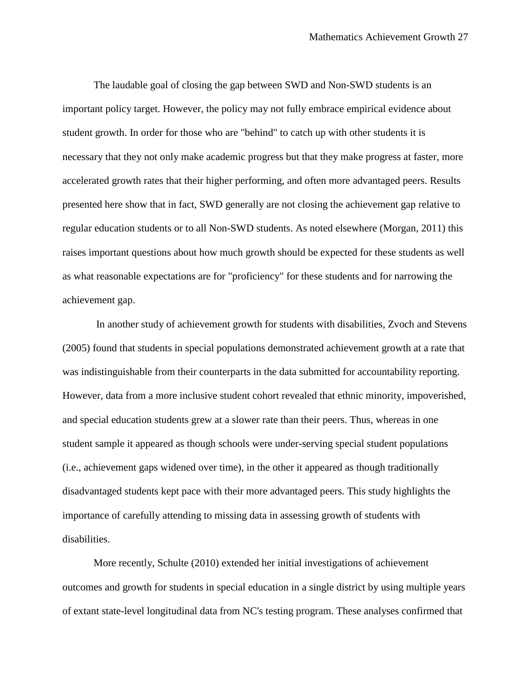The laudable goal of closing the gap between SWD and Non-SWD students is an important policy target. However, the policy may not fully embrace empirical evidence about student growth. In order for those who are "behind" to catch up with other students it is necessary that they not only make academic progress but that they make progress at faster, more accelerated growth rates that their higher performing, and often more advantaged peers. Results presented here show that in fact, SWD generally are not closing the achievement gap relative to regular education students or to all Non-SWD students. As noted elsewhere (Morgan, 2011) this raises important questions about how much growth should be expected for these students as well as what reasonable expectations are for "proficiency" for these students and for narrowing the achievement gap.

In another study of achievement growth for students with disabilities, Zvoch and Stevens (2005) found that students in special populations demonstrated achievement growth at a rate that was indistinguishable from their counterparts in the data submitted for accountability reporting. However, data from a more inclusive student cohort revealed that ethnic minority, impoverished, and special education students grew at a slower rate than their peers. Thus, whereas in one student sample it appeared as though schools were under-serving special student populations (i.e., achievement gaps widened over time), in the other it appeared as though traditionally disadvantaged students kept pace with their more advantaged peers. This study highlights the importance of carefully attending to missing data in assessing growth of students with disabilities.

More recently, Schulte (2010) extended her initial investigations of achievement outcomes and growth for students in special education in a single district by using multiple years of extant state-level longitudinal data from NC's testing program. These analyses confirmed that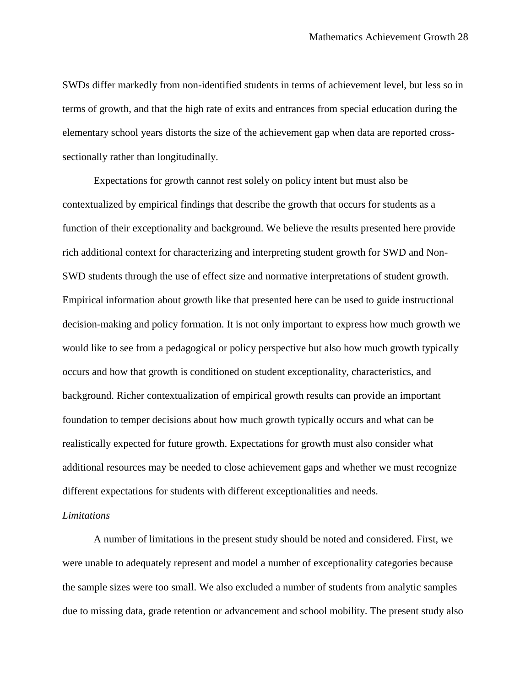SWDs differ markedly from non-identified students in terms of achievement level, but less so in terms of growth, and that the high rate of exits and entrances from special education during the elementary school years distorts the size of the achievement gap when data are reported crosssectionally rather than longitudinally.

Expectations for growth cannot rest solely on policy intent but must also be contextualized by empirical findings that describe the growth that occurs for students as a function of their exceptionality and background. We believe the results presented here provide rich additional context for characterizing and interpreting student growth for SWD and Non-SWD students through the use of effect size and normative interpretations of student growth. Empirical information about growth like that presented here can be used to guide instructional decision-making and policy formation. It is not only important to express how much growth we would like to see from a pedagogical or policy perspective but also how much growth typically occurs and how that growth is conditioned on student exceptionality, characteristics, and background. Richer contextualization of empirical growth results can provide an important foundation to temper decisions about how much growth typically occurs and what can be realistically expected for future growth. Expectations for growth must also consider what additional resources may be needed to close achievement gaps and whether we must recognize different expectations for students with different exceptionalities and needs.

#### *Limitations*

A number of limitations in the present study should be noted and considered. First, we were unable to adequately represent and model a number of exceptionality categories because the sample sizes were too small. We also excluded a number of students from analytic samples due to missing data, grade retention or advancement and school mobility. The present study also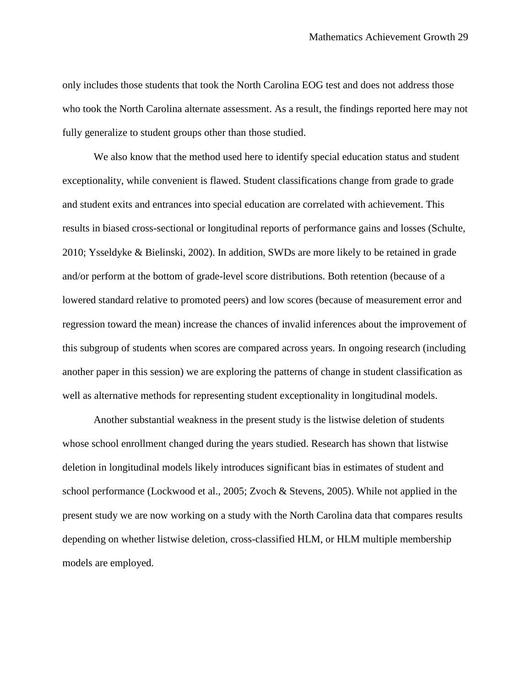only includes those students that took the North Carolina EOG test and does not address those who took the North Carolina alternate assessment. As a result, the findings reported here may not fully generalize to student groups other than those studied.

We also know that the method used here to identify special education status and student exceptionality, while convenient is flawed. Student classifications change from grade to grade and student exits and entrances into special education are correlated with achievement. This results in biased cross-sectional or longitudinal reports of performance gains and losses (Schulte, 2010; Ysseldyke & Bielinski, 2002). In addition, SWDs are more likely to be retained in grade and/or perform at the bottom of grade-level score distributions. Both retention (because of a lowered standard relative to promoted peers) and low scores (because of measurement error and regression toward the mean) increase the chances of invalid inferences about the improvement of this subgroup of students when scores are compared across years. In ongoing research (including another paper in this session) we are exploring the patterns of change in student classification as well as alternative methods for representing student exceptionality in longitudinal models.

Another substantial weakness in the present study is the listwise deletion of students whose school enrollment changed during the years studied. Research has shown that listwise deletion in longitudinal models likely introduces significant bias in estimates of student and school performance (Lockwood et al., 2005; Zvoch & Stevens, 2005). While not applied in the present study we are now working on a study with the North Carolina data that compares results depending on whether listwise deletion, cross-classified HLM, or HLM multiple membership models are employed.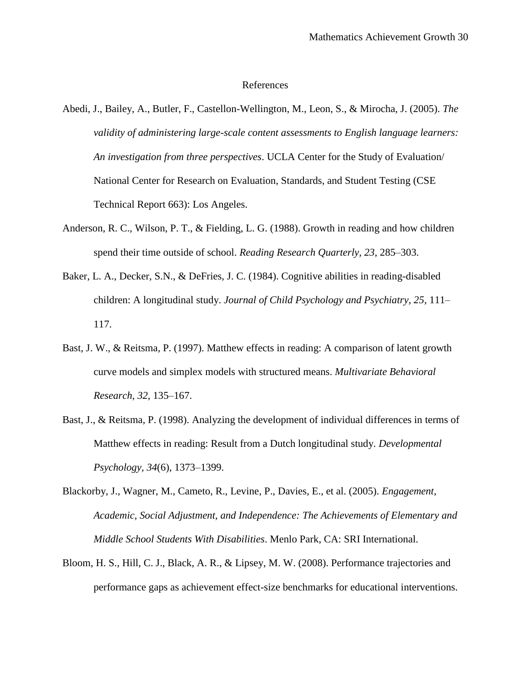#### References

- Abedi, J., Bailey, A., Butler, F., Castellon-Wellington, M., Leon, S., & Mirocha, J. (2005). *The validity of administering large-scale content assessments to English language learners: An investigation from three perspectives*. UCLA Center for the Study of Evaluation/ National Center for Research on Evaluation, Standards, and Student Testing (CSE Technical Report 663): Los Angeles.
- Anderson, R. C., Wilson, P. T., & Fielding, L. G. (1988). Growth in reading and how children spend their time outside of school. *Reading Research Quarterly, 23*, 285–303.
- Baker, L. A., Decker, S.N., & DeFries, J. C. (1984). Cognitive abilities in reading-disabled children: A longitudinal study. *Journal of Child Psychology and Psychiatry, 25*, 111– 117.
- Bast, J. W., & Reitsma, P. (1997). Matthew effects in reading: A comparison of latent growth curve models and simplex models with structured means. *Multivariate Behavioral Research, 32*, 135–167.
- Bast, J., & Reitsma, P. (1998). Analyzing the development of individual differences in terms of Matthew effects in reading: Result from a Dutch longitudinal study. *Developmental Psychology, 34*(6), 1373–1399.
- Blackorby, J., Wagner, M., Cameto, R., Levine, P., Davies, E., et al. (2005). *Engagement, Academic, Social Adjustment, and Independence: The Achievements of Elementary and Middle School Students With Disabilities*. Menlo Park, CA: SRI International.
- Bloom, H. S., Hill, C. J., Black, A. R., & Lipsey, M. W. (2008). Performance trajectories and performance gaps as achievement effect-size benchmarks for educational interventions.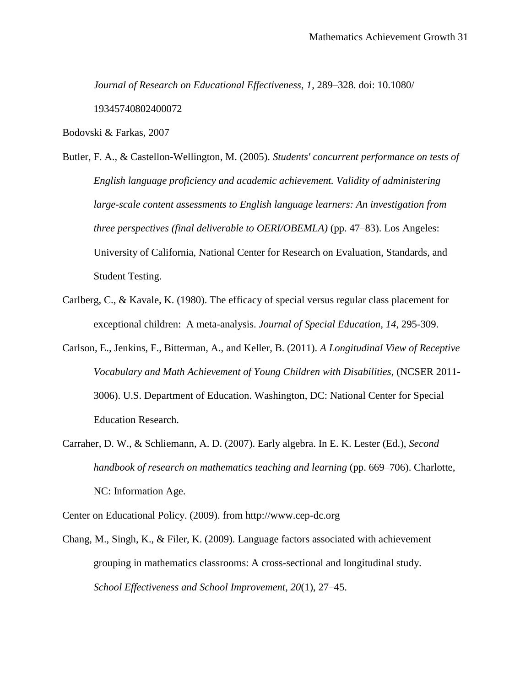*Journal of Research on Educational Effectiveness, 1*, 289–328. doi: 10.1080/ 19345740802400072

Bodovski & Farkas, 2007

- Butler, F. A., & Castellon-Wellington, M. (2005). *Students' concurrent performance on tests of English language proficiency and academic achievement. Validity of administering large-scale content assessments to English language learners: An investigation from three perspectives (final deliverable to OERI/OBEMLA)* (pp. 47–83). Los Angeles: University of California, National Center for Research on Evaluation, Standards, and Student Testing.
- Carlberg, C., & Kavale, K. (1980). The efficacy of special versus regular class placement for exceptional children: A meta-analysis. *Journal of Special Education, 14*, 295-309.
- Carlson, E., Jenkins, F., Bitterman, A., and Keller, B. (2011). *A Longitudinal View of Receptive Vocabulary and Math Achievement of Young Children with Disabilities*, (NCSER 2011- 3006). U.S. Department of Education. Washington, DC: National Center for Special Education Research.
- Carraher, D. W., & Schliemann, A. D. (2007). Early algebra. In E. K. Lester (Ed.), *Second handbook of research on mathematics teaching and learning* (pp. 669–706). Charlotte, NC: Information Age.

Center on Educational Policy. (2009). from http://www.cep-dc.org

Chang, M., Singh, K., & Filer, K. (2009). Language factors associated with achievement grouping in mathematics classrooms: A cross-sectional and longitudinal study. *School Effectiveness and School Improvement, 20*(1), 27–45.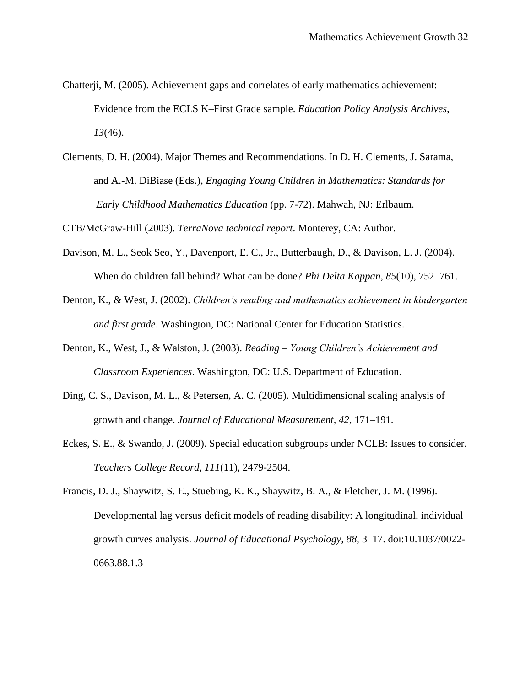- Chatterji, M. (2005). Achievement gaps and correlates of early mathematics achievement: Evidence from the ECLS K–First Grade sample. *Education Policy Analysis Archives, 13*(46).
- Clements, D. H. (2004). Major Themes and Recommendations. In D. H. Clements, J. Sarama, and A.-M. DiBiase (Eds.), *Engaging Young Children in Mathematics: Standards for Early Childhood Mathematics Education* (pp. 7-72). Mahwah, NJ: Erlbaum.

CTB/McGraw-Hill (2003). *TerraNova technical report*. Monterey, CA: Author.

- Davison, M. L., Seok Seo, Y., Davenport, E. C., Jr., Butterbaugh, D., & Davison, L. J. (2004). When do children fall behind? What can be done? *Phi Delta Kappan, 85*(10), 752–761.
- Denton, K., & West, J. (2002). *Children's reading and mathematics achievement in kindergarten and first grade*. Washington, DC: National Center for Education Statistics.
- Denton, K., West, J., & Walston, J. (2003). *Reading – Young Children's Achievement and Classroom Experiences*. Washington, DC: U.S. Department of Education.
- Ding, C. S., Davison, M. L., & Petersen, A. C. (2005). Multidimensional scaling analysis of growth and change. *Journal of Educational Measurement, 42*, 171–191.
- Eckes, S. E., & Swando, J. (2009). Special education subgroups under NCLB: Issues to consider. *Teachers College Record, 111*(11), 2479-2504.
- Francis, D. J., Shaywitz, S. E., Stuebing, K. K., Shaywitz, B. A., & Fletcher, J. M. (1996). Developmental lag versus deficit models of reading disability: A longitudinal, individual growth curves analysis. *Journal of Educational Psychology, 88*, 3–17. doi:10.1037/0022- 0663.88.1.3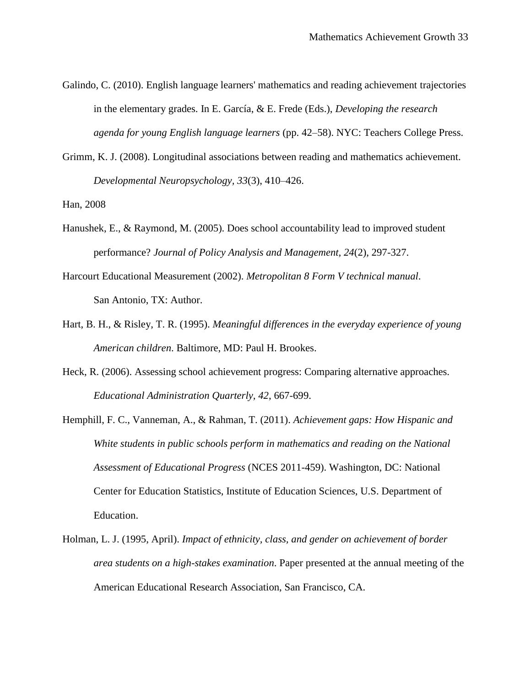Galindo, C. (2010). English language learners' mathematics and reading achievement trajectories in the elementary grades. In E. García, & E. Frede (Eds.), *Developing the research agenda for young English language learners* (pp. 42–58). NYC: Teachers College Press.

Grimm, K. J. (2008). Longitudinal associations between reading and mathematics achievement. *Developmental Neuropsychology, 33*(3), 410–426.

Han, 2008

- Hanushek, E., & Raymond, M. (2005). Does school accountability lead to improved student performance? *Journal of Policy Analysis and Management, 24*(2), 297-327.
- Harcourt Educational Measurement (2002). *Metropolitan 8 Form V technical manual*. San Antonio, TX: Author.
- Hart, B. H., & Risley, T. R. (1995). *Meaningful differences in the everyday experience of young American children*. Baltimore, MD: Paul H. Brookes.
- Heck, R. (2006). Assessing school achievement progress: Comparing alternative approaches. *Educational Administration Quarterly, 42*, 667-699.
- Hemphill, F. C., Vanneman, A., & Rahman, T. (2011). *Achievement gaps: How Hispanic and White students in public schools perform in mathematics and reading on the National Assessment of Educational Progress* (NCES 2011-459). Washington, DC: National Center for Education Statistics, Institute of Education Sciences, U.S. Department of Education.
- Holman, L. J. (1995, April). *Impact of ethnicity, class, and gender on achievement of border area students on a high-stakes examination*. Paper presented at the annual meeting of the American Educational Research Association, San Francisco, CA.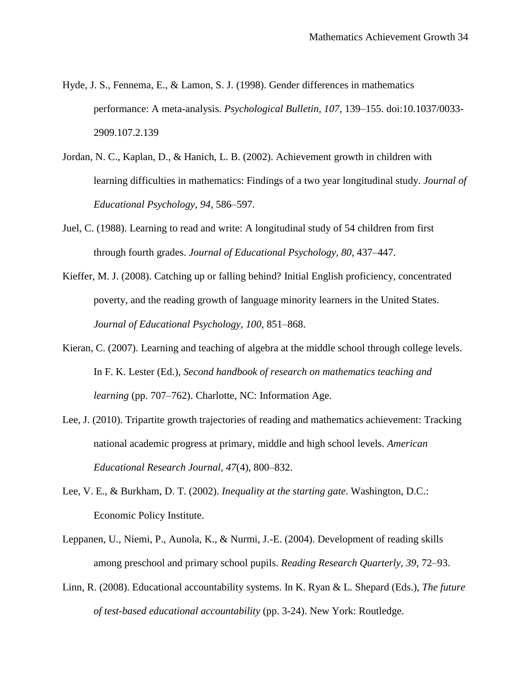- Hyde, J. S., Fennema, E., & Lamon, S. J. (1998). Gender differences in mathematics performance: A meta-analysis. *Psychological Bulletin, 107*, 139–155. doi:10.1037/0033- 2909.107.2.139
- Jordan, N. C., Kaplan, D., & Hanich, L. B. (2002). Achievement growth in children with learning difficulties in mathematics: Findings of a two year longitudinal study. *Journal of Educational Psychology, 94*, 586–597.
- Juel, C. (1988). Learning to read and write: A longitudinal study of 54 children from first through fourth grades. *Journal of Educational Psychology, 80*, 437–447.
- Kieffer, M. J. (2008). Catching up or falling behind? Initial English proficiency, concentrated poverty, and the reading growth of language minority learners in the United States. *Journal of Educational Psychology, 100*, 851–868.
- Kieran, C. (2007). Learning and teaching of algebra at the middle school through college levels. In F. K. Lester (Ed.), *Second handbook of research on mathematics teaching and learning* (pp. 707–762). Charlotte, NC: Information Age.
- Lee, J. (2010). Tripartite growth trajectories of reading and mathematics achievement: Tracking national academic progress at primary, middle and high school levels. *American Educational Research Journal, 47*(4), 800–832.
- Lee, V. E., & Burkham, D. T. (2002). *Inequality at the starting gate*. Washington, D.C.: Economic Policy Institute.
- Leppanen, U., Niemi, P., Aunola, K., & Nurmi, J.-E. (2004). Development of reading skills among preschool and primary school pupils. *Reading Research Quarterly, 39*, 72–93.
- Linn, R. (2008). Educational accountability systems. In K. Ryan & L. Shepard (Eds.), *The future of test-based educational accountability* (pp. 3-24). New York: Routledge.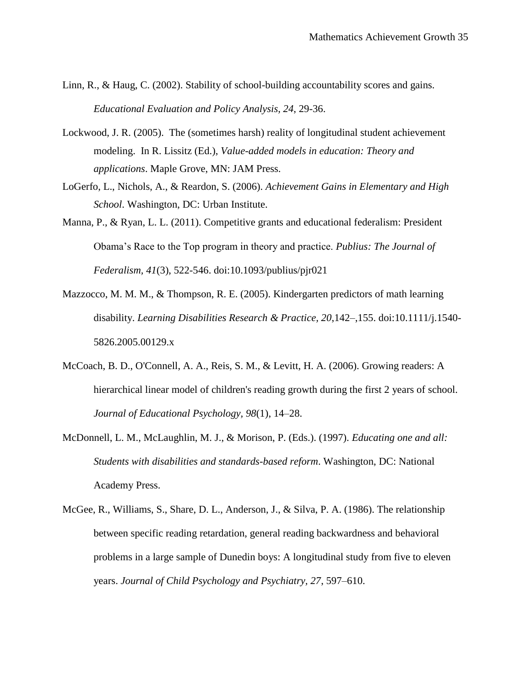- Linn, R., & Haug, C. (2002). Stability of school-building accountability scores and gains. *Educational Evaluation and Policy Analysis, 24*, 29-36.
- Lockwood, J. R. (2005). The (sometimes harsh) reality of longitudinal student achievement modeling. In R. Lissitz (Ed.), *Value-added models in education: Theory and applications*. Maple Grove, MN: JAM Press.
- LoGerfo, L., Nichols, A., & Reardon, S. (2006). *Achievement Gains in Elementary and High School*. Washington, DC: Urban Institute.
- Manna, P., & Ryan, L. L. (2011). Competitive grants and educational federalism: President Obama's Race to the Top program in theory and practice. *Publius: The Journal of Federalism, 41*(3), 522-546. doi:10.1093/publius/pjr021
- Mazzocco, M. M. M., & Thompson, R. E. (2005). Kindergarten predictors of math learning disability. *Learning Disabilities Research & Practice, 20*,142–,155. doi:10.1111/j.1540- 5826.2005.00129.x
- McCoach, B. D., O'Connell, A. A., Reis, S. M., & Levitt, H. A. (2006). Growing readers: A hierarchical linear model of children's reading growth during the first 2 years of school. *Journal of Educational Psychology, 98*(1), 14–28.
- McDonnell, L. M., McLaughlin, M. J., & Morison, P. (Eds.). (1997). *Educating one and all: Students with disabilities and standards-based reform*. Washington, DC: National Academy Press.
- McGee, R., Williams, S., Share, D. L., Anderson, J., & Silva, P. A. (1986). The relationship between specific reading retardation, general reading backwardness and behavioral problems in a large sample of Dunedin boys: A longitudinal study from five to eleven years. *Journal of Child Psychology and Psychiatry, 27*, 597–610.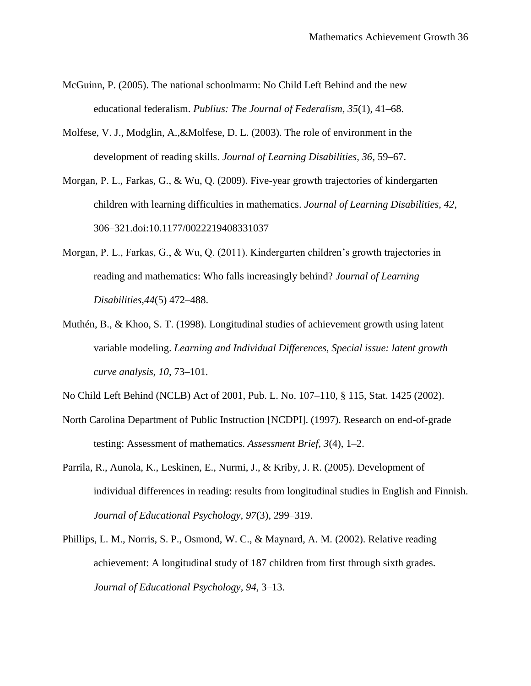- McGuinn, P. (2005). The national schoolmarm: No Child Left Behind and the new educational federalism. *Publius: The Journal of Federalism, 35*(1), 41–68.
- Molfese, V. J., Modglin, A.,&Molfese, D. L. (2003). The role of environment in the development of reading skills. *Journal of Learning Disabilities, 36*, 59–67.
- Morgan, P. L., Farkas, G., & Wu, Q. (2009). Five-year growth trajectories of kindergarten children with learning difficulties in mathematics. *Journal of Learning Disabilities, 42*, 306–321.doi:10.1177/0022219408331037
- Morgan, P. L., Farkas, G., & Wu, Q. (2011). Kindergarten children's growth trajectories in reading and mathematics: Who falls increasingly behind? *Journal of Learning Disabilities,44*(5) 472–488.
- Muthén, B., & Khoo, S. T. (1998). Longitudinal studies of achievement growth using latent variable modeling. *Learning and Individual Differences, Special issue: latent growth curve analysis, 10*, 73–101.

No Child Left Behind (NCLB) Act of 2001, Pub. L. No. 107–110, § 115, Stat. 1425 (2002).

- North Carolina Department of Public Instruction [NCDPI]. (1997). Research on end-of-grade testing: Assessment of mathematics. *Assessment Brief, 3*(4), 1–2.
- Parrila, R., Aunola, K., Leskinen, E., Nurmi, J., & Kriby, J. R. (2005). Development of individual differences in reading: results from longitudinal studies in English and Finnish. *Journal of Educational Psychology, 97*(3), 299–319.
- Phillips, L. M., Norris, S. P., Osmond, W. C., & Maynard, A. M. (2002). Relative reading achievement: A longitudinal study of 187 children from first through sixth grades. *Journal of Educational Psychology, 94*, 3–13.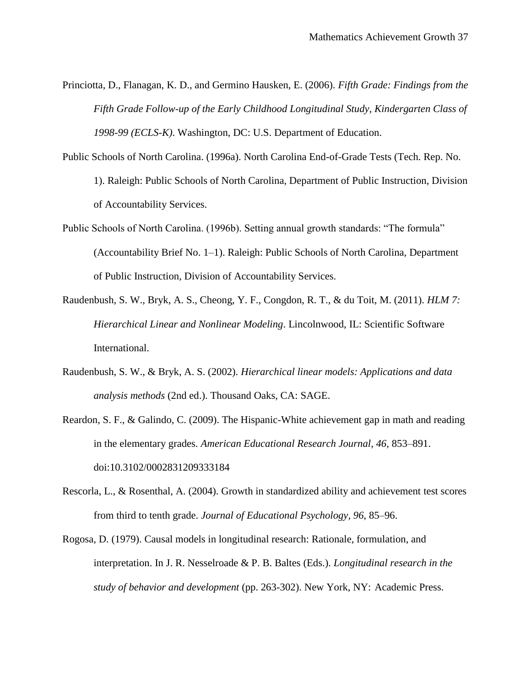- Princiotta, D., Flanagan, K. D., and Germino Hausken, E. (2006). *Fifth Grade: Findings from the Fifth Grade Follow-up of the Early Childhood Longitudinal Study, Kindergarten Class of 1998-99 (ECLS-K)*. Washington, DC: U.S. Department of Education.
- Public Schools of North Carolina. (1996a). North Carolina End-of-Grade Tests (Tech. Rep. No. 1). Raleigh: Public Schools of North Carolina, Department of Public Instruction, Division of Accountability Services.
- Public Schools of North Carolina. (1996b). Setting annual growth standards: "The formula" (Accountability Brief No. 1–1). Raleigh: Public Schools of North Carolina, Department of Public Instruction, Division of Accountability Services.
- Raudenbush, S. W., Bryk, A. S., Cheong, Y. F., Congdon, R. T., & du Toit, M. (2011). *HLM 7: Hierarchical Linear and Nonlinear Modeling*. Lincolnwood, IL: Scientific Software International.
- Raudenbush, S. W., & Bryk, A. S. (2002). *Hierarchical linear models: Applications and data analysis methods* (2nd ed.). Thousand Oaks, CA: SAGE.
- Reardon, S. F., & Galindo, C. (2009). The Hispanic-White achievement gap in math and reading in the elementary grades. *American Educational Research Journal, 46*, 853–891. doi:10.3102/0002831209333184
- Rescorla, L., & Rosenthal, A. (2004). Growth in standardized ability and achievement test scores from third to tenth grade. *Journal of Educational Psychology, 96*, 85–96.
- Rogosa, D. (1979). Causal models in longitudinal research: Rationale, formulation, and interpretation. In J. R. Nesselroade & P. B. Baltes (Eds.). *Longitudinal research in the study of behavior and development* (pp. 263-302). New York, NY: Academic Press.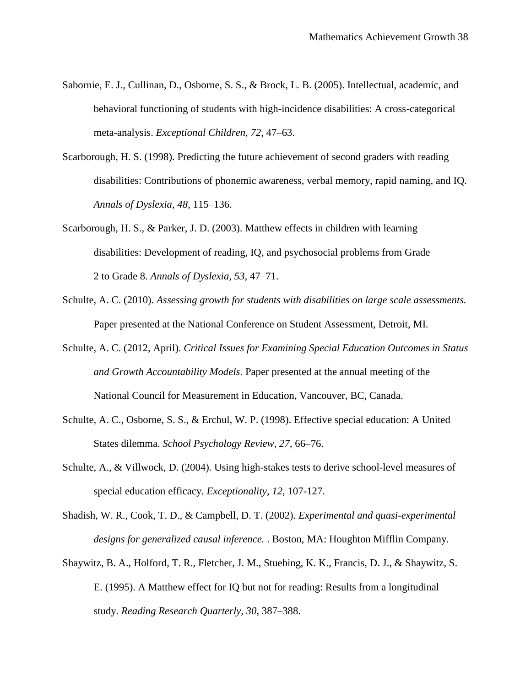- Sabornie, E. J., Cullinan, D., Osborne, S. S., & Brock, L. B. (2005). Intellectual, academic, and behavioral functioning of students with high-incidence disabilities: A cross-categorical meta-analysis. *Exceptional Children, 72*, 47–63.
- Scarborough, H. S. (1998). Predicting the future achievement of second graders with reading disabilities: Contributions of phonemic awareness, verbal memory, rapid naming, and IQ. *Annals of Dyslexia, 48*, 115–136.
- Scarborough, H. S., & Parker, J. D. (2003). Matthew effects in children with learning disabilities: Development of reading, IQ, and psychosocial problems from Grade 2 to Grade 8. *Annals of Dyslexia, 53*, 47–71.
- Schulte, A. C. (2010). *Assessing growth for students with disabilities on large scale assessments.* Paper presented at the National Conference on Student Assessment, Detroit, MI.
- Schulte, A. C. (2012, April). *Critical Issues for Examining Special Education Outcomes in Status and Growth Accountability Models*. Paper presented at the annual meeting of the National Council for Measurement in Education, Vancouver, BC, Canada.
- Schulte, A. C., Osborne, S. S., & Erchul, W. P. (1998). Effective special education: A United States dilemma. *School Psychology Review, 27,* 66–76.
- Schulte, A., & Villwock, D. (2004). Using high-stakes tests to derive school-level measures of special education efficacy. *Exceptionality, 12*, 107-127.
- Shadish, W. R., Cook, T. D., & Campbell, D. T. (2002). *Experimental and quasi-experimental designs for generalized causal inference.* . Boston, MA: Houghton Mifflin Company.
- Shaywitz, B. A., Holford, T. R., Fletcher, J. M., Stuebing, K. K., Francis, D. J., & Shaywitz, S. E. (1995). A Matthew effect for IQ but not for reading: Results from a longitudinal study. *Reading Research Quarterly, 30*, 387–388.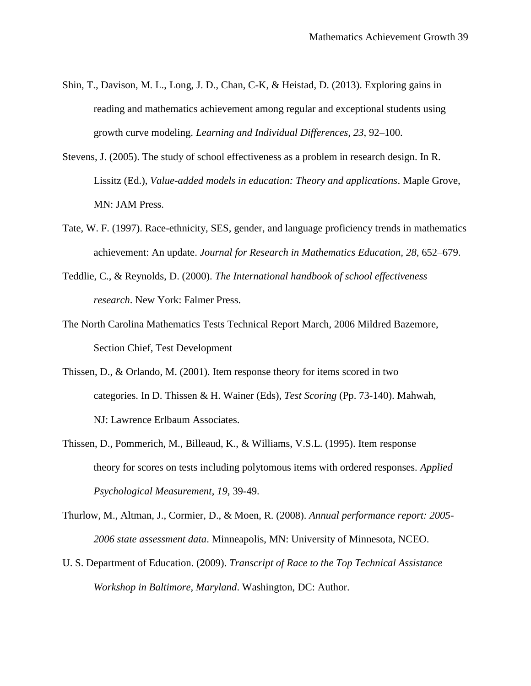- Shin, T., Davison, M. L., Long, J. D., Chan, C-K, & Heistad, D. (2013). Exploring gains in reading and mathematics achievement among regular and exceptional students using growth curve modeling. *Learning and Individual Differences, 23*, 92–100.
- Stevens, J. (2005). The study of school effectiveness as a problem in research design. In R. Lissitz (Ed.), *Value-added models in education: Theory and applications*. Maple Grove, MN: JAM Press.
- Tate, W. F. (1997). Race-ethnicity, SES, gender, and language proficiency trends in mathematics achievement: An update. *Journal for Research in Mathematics Education, 28*, 652–679.
- Teddlie, C., & Reynolds, D. (2000). *The International handbook of school effectiveness research*. New York: Falmer Press.
- The North Carolina Mathematics Tests Technical Report March, 2006 Mildred Bazemore, Section Chief, Test Development
- Thissen, D., & Orlando, M. (2001). Item response theory for items scored in two categories. In D. Thissen & H. Wainer (Eds), *Test Scoring* (Pp. 73-140). Mahwah, NJ: Lawrence Erlbaum Associates.
- Thissen, D., Pommerich, M., Billeaud, K., & Williams, V.S.L. (1995). Item response theory for scores on tests including polytomous items with ordered responses*. Applied Psychological Measurement*, *19*, 39-49.
- Thurlow, M., Altman, J., Cormier, D., & Moen, R. (2008). *Annual performance report: 2005- 2006 state assessment data*. Minneapolis, MN: University of Minnesota, NCEO.
- U. S. Department of Education. (2009). *Transcript of Race to the Top Technical Assistance Workshop in Baltimore, Maryland*. Washington, DC: Author.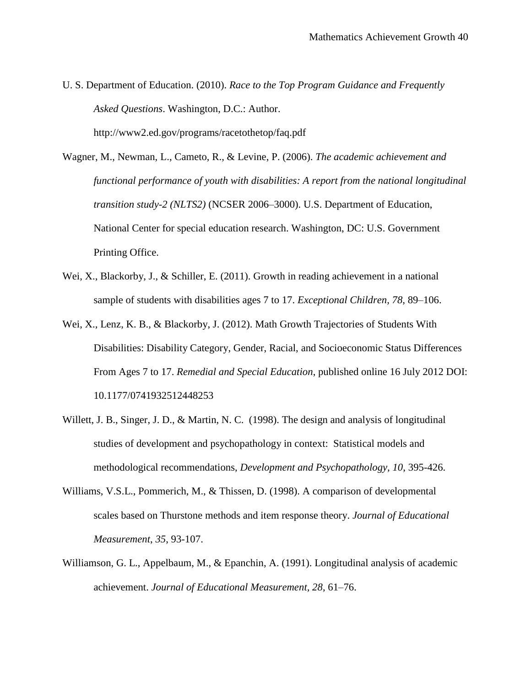- U. S. Department of Education. (2010). *Race to the Top Program Guidance and Frequently Asked Questions*. Washington, D.C.: Author. http://www2.ed.gov/programs/racetothetop/faq.pdf
- Wagner, M., Newman, L., Cameto, R., & Levine, P. (2006). *The academic achievement and functional performance of youth with disabilities: A report from the national longitudinal transition study-2 (NLTS2)* (NCSER 2006–3000). U.S. Department of Education, National Center for special education research. Washington, DC: U.S. Government Printing Office.
- Wei, X., Blackorby, J., & Schiller, E. (2011). Growth in reading achievement in a national sample of students with disabilities ages 7 to 17. *Exceptional Children, 78*, 89–106.
- Wei, X., Lenz, K. B., & Blackorby, J. (2012). Math Growth Trajectories of Students With Disabilities: Disability Category, Gender, Racial, and Socioeconomic Status Differences From Ages 7 to 17. *Remedial and Special Education*, published online 16 July 2012 DOI: 10.1177/0741932512448253
- Willett, J. B., Singer, J. D., & Martin, N. C. (1998). The design and analysis of longitudinal studies of development and psychopathology in context: Statistical models and methodological recommendations, *Development and Psychopathology, 10*, 395-426.
- Williams, V.S.L., Pommerich, M., & Thissen, D. (1998). A comparison of developmental scales based on Thurstone methods and item response theory. *Journal of Educational Measurement*, *35*, 93-107.
- Williamson, G. L., Appelbaum, M., & Epanchin, A. (1991). Longitudinal analysis of academic achievement. *Journal of Educational Measurement, 28*, 61–76.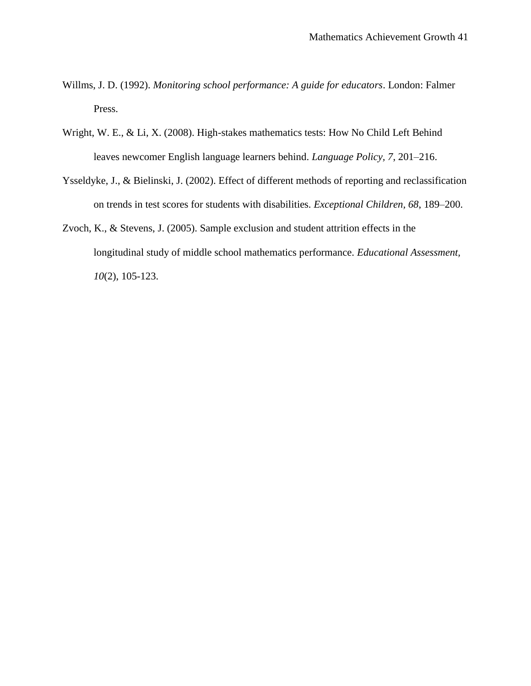- Willms, J. D. (1992). *Monitoring school performance: A guide for educators*. London: Falmer Press.
- Wright, W. E., & Li, X. (2008). High-stakes mathematics tests: How No Child Left Behind leaves newcomer English language learners behind. *Language Policy, 7*, 201–216.
- Ysseldyke, J., & Bielinski, J. (2002). Effect of different methods of reporting and reclassification on trends in test scores for students with disabilities. *Exceptional Children, 68*, 189–200.
- Zvoch, K., & Stevens, J. (2005). Sample exclusion and student attrition effects in the longitudinal study of middle school mathematics performance. *Educational Assessment, 10*(2), 105-123.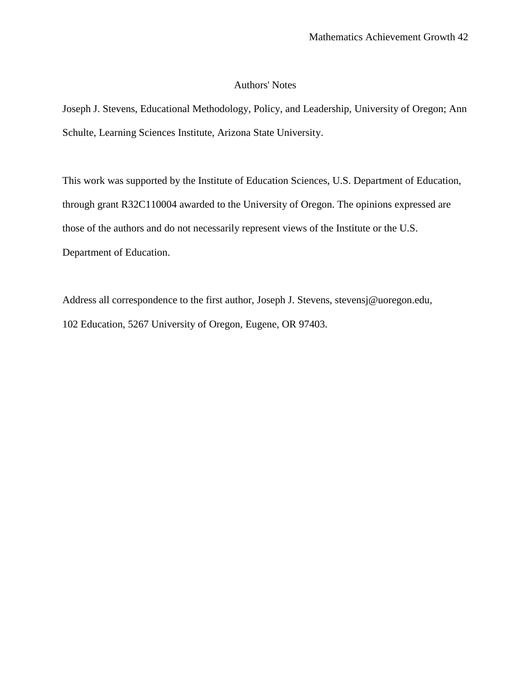#### Authors' Notes

Joseph J. Stevens, Educational Methodology, Policy, and Leadership, University of Oregon; Ann Schulte, Learning Sciences Institute, Arizona State University.

This work was supported by the Institute of Education Sciences, U.S. Department of Education, through grant R32C110004 awarded to the University of Oregon. The opinions expressed are those of the authors and do not necessarily represent views of the Institute or the U.S. Department of Education.

Address all correspondence to the first author, Joseph J. Stevens, stevensj@uoregon.edu, 102 Education, 5267 University of Oregon, Eugene, OR 97403.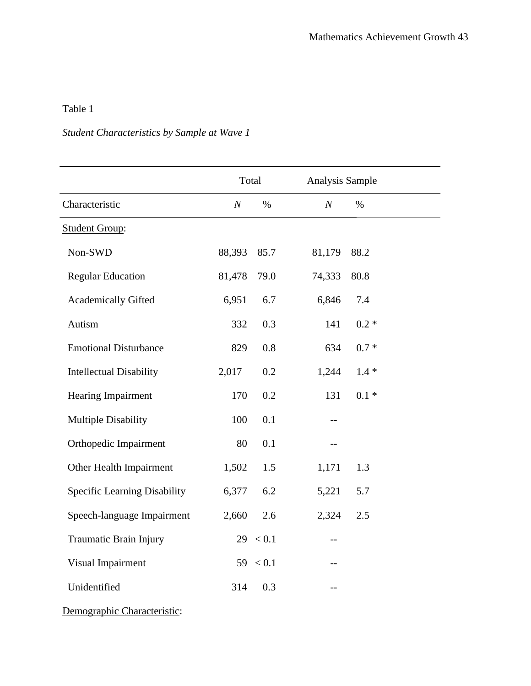### *Student Characteristics by Sample at Wave 1*

|                                     | Total            |           |                  | Analysis Sample |  |
|-------------------------------------|------------------|-----------|------------------|-----------------|--|
| Characteristic                      | $\boldsymbol{N}$ | $\%$      | $\boldsymbol{N}$ | $\%$            |  |
| <b>Student Group:</b>               |                  |           |                  |                 |  |
| Non-SWD                             | 88,393           | 85.7      | 81,179           | 88.2            |  |
| <b>Regular Education</b>            | 81,478           | 79.0      | 74,333           | 80.8            |  |
| <b>Academically Gifted</b>          | 6,951            | 6.7       | 6,846            | 7.4             |  |
| Autism                              | 332              | 0.3       | 141              | $0.2 *$         |  |
| <b>Emotional Disturbance</b>        | 829              | $0.8\,$   | 634              | $0.7\; *$       |  |
| <b>Intellectual Disability</b>      | 2,017            | 0.2       | 1,244            | $1.4 *$         |  |
| Hearing Impairment                  | 170              | 0.2       | 131              | $0.1 *$         |  |
| <b>Multiple Disability</b>          | 100              | 0.1       | $-$              |                 |  |
| Orthopedic Impairment               | 80               | 0.1       | --               |                 |  |
| Other Health Impairment             | 1,502            | 1.5       | 1,171            | 1.3             |  |
| <b>Specific Learning Disability</b> | 6,377            | 6.2       | 5,221            | 5.7             |  |
| Speech-language Impairment          | 2,660            | 2.6       | 2,324            | 2.5             |  |
| Traumatic Brain Injury              | 29               | $< 0.1\,$ | --               |                 |  |
| Visual Impairment                   | 59               | < 0.1     | $-$              |                 |  |
| Unidentified                        | 314              | 0.3       |                  |                 |  |

Demographic Characteristic: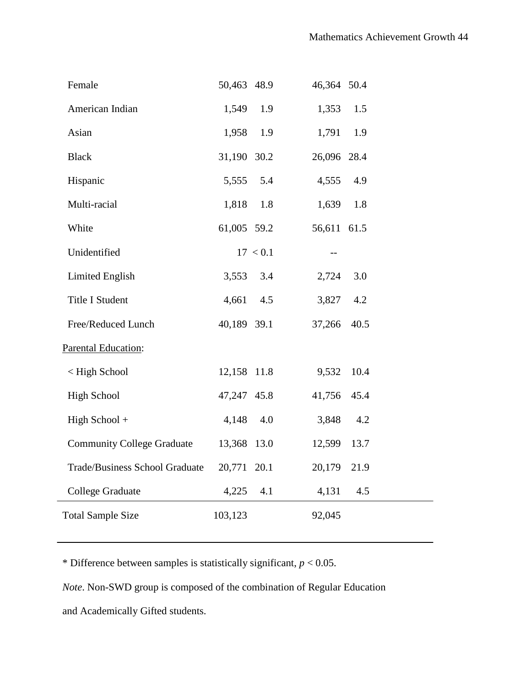| Female                                 | 50,463 48.9 |          | 46,364 50.4 |      |  |
|----------------------------------------|-------------|----------|-------------|------|--|
| American Indian                        | 1,549       | 1.9      | 1,353       | 1.5  |  |
| Asian                                  | 1,958 1.9   |          | 1,791       | 1.9  |  |
| <b>Black</b>                           | 31,190 30.2 |          | 26,096 28.4 |      |  |
| Hispanic                               | 5,555 5.4   |          | 4,555       | 4.9  |  |
| Multi-racial                           | 1,818       | 1.8      | 1,639 1.8   |      |  |
| White                                  | 61,005 59.2 |          | 56,611 61.5 |      |  |
| Unidentified                           |             | 17 < 0.1 | $- -$       |      |  |
| <b>Limited English</b>                 | 3,553 3.4   |          | 2,724       | 3.0  |  |
| Title I Student                        | 4,661 4.5   |          | 3,827 4.2   |      |  |
| Free/Reduced Lunch                     | 40,189 39.1 |          | 37,266      | 40.5 |  |
| <b>Parental Education:</b>             |             |          |             |      |  |
| < High School                          | 12,158 11.8 |          | 9,532       | 10.4 |  |
| <b>High School</b>                     | 47,247 45.8 |          | 41,756 45.4 |      |  |
| High School +                          | 4,148       | 4.0      | 3,848       | 4.2  |  |
| Community College Graduate 13,368 13.0 |             |          | 12,599 13.7 |      |  |
| Trade/Business School Graduate         | 20,771 20.1 |          | 20,179 21.9 |      |  |
| <b>College Graduate</b>                | 4,225       | 4.1      | 4,131       | 4.5  |  |
| <b>Total Sample Size</b>               | 103,123     |          | 92,045      |      |  |
|                                        |             |          |             |      |  |

\* Difference between samples is statistically significant,  $p < 0.05$ .

*Note*. Non-SWD group is composed of the combination of Regular Education

and Academically Gifted students.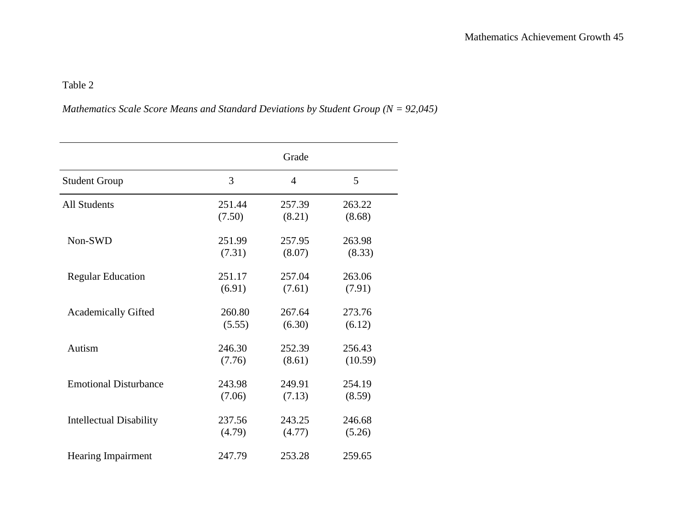## *Mathematics Scale Score Means and Standard Deviations by Student Group (N = 92,045)*

|                                |        | Grade          |         |
|--------------------------------|--------|----------------|---------|
| <b>Student Group</b>           | 3      | $\overline{4}$ | 5       |
| <b>All Students</b>            | 251.44 | 257.39         | 263.22  |
|                                | (7.50) | (8.21)         | (8.68)  |
| Non-SWD                        | 251.99 | 257.95         | 263.98  |
|                                | (7.31) | (8.07)         | (8.33)  |
| <b>Regular Education</b>       | 251.17 | 257.04         | 263.06  |
|                                | (6.91) | (7.61)         | (7.91)  |
| <b>Academically Gifted</b>     | 260.80 | 267.64         | 273.76  |
|                                | (5.55) | (6.30)         | (6.12)  |
| Autism                         | 246.30 | 252.39         | 256.43  |
|                                | (7.76) | (8.61)         | (10.59) |
| <b>Emotional Disturbance</b>   | 243.98 | 249.91         | 254.19  |
|                                | (7.06) | (7.13)         | (8.59)  |
| <b>Intellectual Disability</b> | 237.56 | 243.25         | 246.68  |
|                                | (4.79) | (4.77)         | (5.26)  |
| <b>Hearing Impairment</b>      | 247.79 | 253.28         | 259.65  |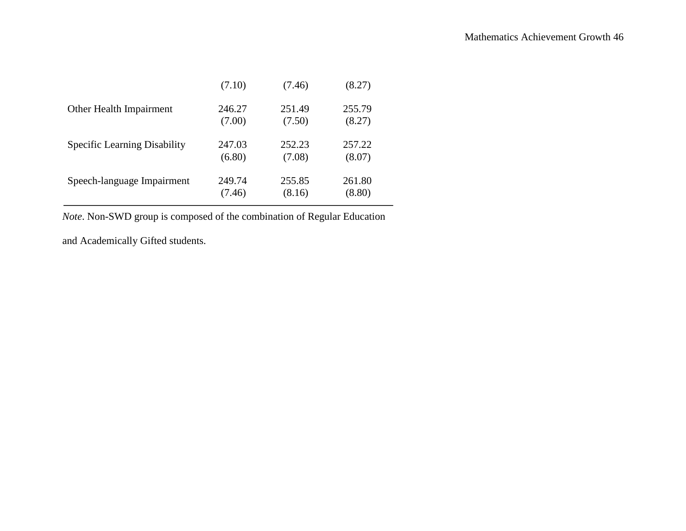|                                     | (7.10)           | (7.46)           | (8.27)           |  |
|-------------------------------------|------------------|------------------|------------------|--|
| Other Health Impairment             | 246.27<br>(7.00) | 251.49<br>(7.50) | 255.79<br>(8.27) |  |
| <b>Specific Learning Disability</b> | 247.03<br>(6.80) | 252.23<br>(7.08) | 257.22<br>(8.07) |  |
| Speech-language Impairment          | 249.74<br>(7.46) | 255.85<br>(8.16) | 261.80<br>(8.80) |  |

*Note*. Non-SWD group is composed of the combination of Regular Education

and Academically Gifted students.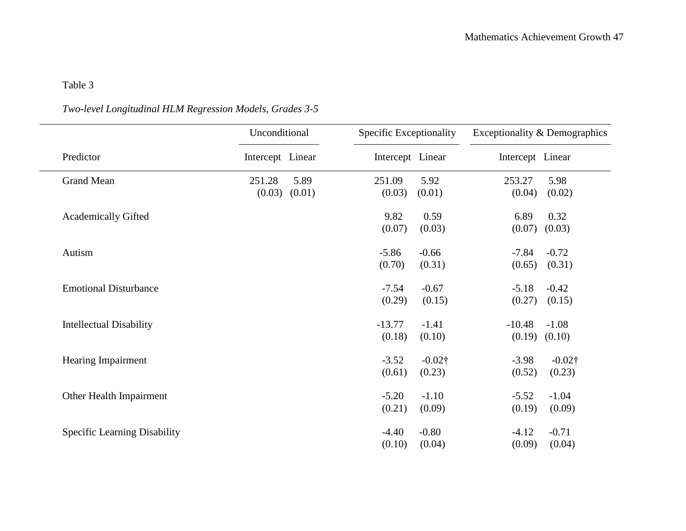## *Two-level Longitudinal HLM Regression Models, Grades 3-5*

|                                | Unconditional    |        | Specific Exceptionality |           | Exceptionality & Demographics |           |
|--------------------------------|------------------|--------|-------------------------|-----------|-------------------------------|-----------|
| Predictor                      | Intercept Linear |        | Intercept Linear        |           | Intercept Linear              |           |
| <b>Grand Mean</b>              | 251.28           | 5.89   | 251.09                  | 5.92      | 253.27                        | 5.98      |
|                                | (0.03)           | (0.01) | (0.03)                  | (0.01)    | (0.04)                        | (0.02)    |
| <b>Academically Gifted</b>     |                  |        | 9.82                    | 0.59      | 6.89                          | 0.32      |
|                                |                  |        | (0.07)                  | (0.03)    | (0.07)                        | (0.03)    |
| Autism                         |                  |        | $-5.86$                 | $-0.66$   | $-7.84$                       | $-0.72$   |
|                                |                  |        | (0.70)                  | (0.31)    | (0.65)                        | (0.31)    |
| <b>Emotional Disturbance</b>   |                  |        | $-7.54$                 | $-0.67$   | $-5.18$                       | $-0.42$   |
|                                |                  |        | (0.29)                  | (0.15)    | (0.27)                        | (0.15)    |
| <b>Intellectual Disability</b> |                  |        | $-13.77$                | $-1.41$   | $-10.48$                      | $-1.08$   |
|                                |                  |        | (0.18)                  | (0.10)    | (0.19)                        | (0.10)    |
| Hearing Impairment             |                  |        | $-3.52$                 | $-0.02$ † | $-3.98$                       | $-0.02$ † |
|                                |                  |        | (0.61)                  | (0.23)    | (0.52)                        | (0.23)    |
| Other Health Impairment        |                  |        | $-5.20$                 | $-1.10$   | $-5.52$                       | $-1.04$   |
|                                |                  |        | (0.21)                  | (0.09)    | (0.19)                        | (0.09)    |
| Specific Learning Disability   |                  |        | $-4.40$                 | $-0.80$   | $-4.12$                       | $-0.71$   |
|                                |                  |        | (0.10)                  | (0.04)    | (0.09)                        | (0.04)    |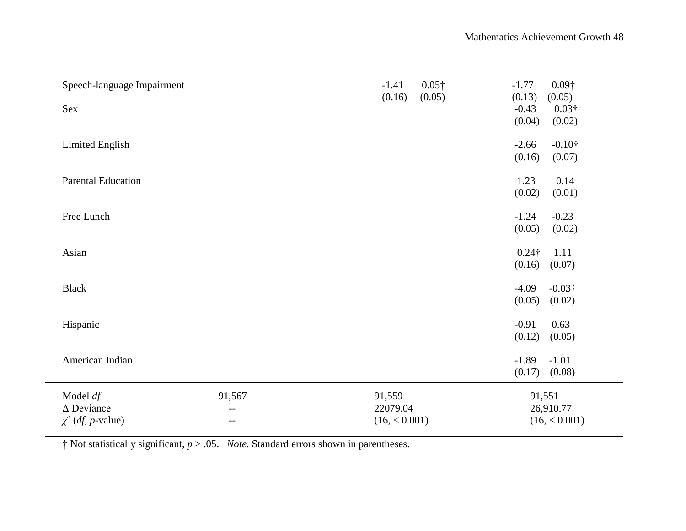| Speech-language Impairment<br>Sex                                  |                                      | $-1.41$<br>(0.16)                   | $0.05\dagger$<br>(0.05) | $0.09\dagger$<br>$-1.77$<br>(0.13)<br>(0.05)<br>$-0.43$<br>$0.03\dagger$<br>(0.04)<br>(0.02) |  |
|--------------------------------------------------------------------|--------------------------------------|-------------------------------------|-------------------------|----------------------------------------------------------------------------------------------|--|
| Limited English                                                    |                                      |                                     |                         | $-2.66$<br>$-0.10\dagger$<br>(0.16)<br>(0.07)                                                |  |
| <b>Parental Education</b>                                          |                                      |                                     |                         | 0.14<br>1.23<br>(0.02)<br>(0.01)                                                             |  |
| Free Lunch                                                         |                                      |                                     |                         | $-0.23$<br>$-1.24$<br>(0.05)<br>(0.02)                                                       |  |
| Asian                                                              |                                      |                                     |                         | 1.11<br>$0.24\dagger$<br>(0.16)<br>(0.07)                                                    |  |
| <b>Black</b>                                                       |                                      |                                     |                         | $-4.09$<br>$-0.03\dagger$<br>(0.05)<br>(0.02)                                                |  |
| Hispanic                                                           |                                      |                                     |                         | $-0.91$<br>0.63<br>(0.12)<br>(0.05)                                                          |  |
| American Indian                                                    |                                      |                                     |                         | $-1.89$<br>$-1.01$<br>(0.17)<br>(0.08)                                                       |  |
| Model $df$<br>$\Delta$ Deviance<br>$\chi^2$ ( <i>df, p</i> -value) | 91,567<br>$\qquad \qquad -$<br>$- -$ | 91,559<br>22079.04<br>(16, < 0.001) |                         | 91,551<br>26,910.77<br>(16, < 0.001)                                                         |  |

† Not statistically significant, *p* > .05. *Note*. Standard errors shown in parentheses.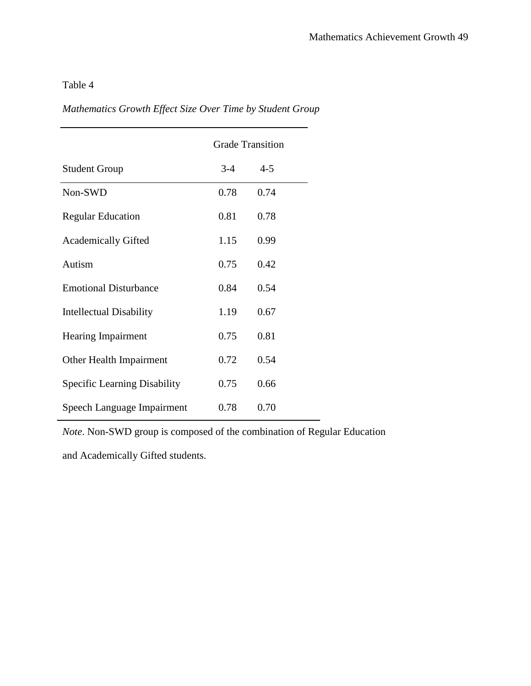|                                     | <b>Grade Transition</b> |         |  |
|-------------------------------------|-------------------------|---------|--|
| <b>Student Group</b>                | $3-4$                   | $4 - 5$ |  |
| Non-SWD                             | 0.78                    | 0.74    |  |
| <b>Regular Education</b>            | 0.81                    | 0.78    |  |
| <b>Academically Gifted</b>          | 1.15                    | 0.99    |  |
| Autism                              | 0.75                    | 0.42    |  |
| <b>Emotional Disturbance</b>        | 0.84                    | 0.54    |  |
| Intellectual Disability             | 1.19                    | 0.67    |  |
| <b>Hearing Impairment</b>           | 0.75                    | 0.81    |  |
| Other Health Impairment             | 0.72                    | 0.54    |  |
| <b>Specific Learning Disability</b> | 0.75                    | 0.66    |  |
| Speech Language Impairment          | 0.78                    | 0.70    |  |

*Mathematics Growth Effect Size Over Time by Student Group*

*Note*. Non-SWD group is composed of the combination of Regular Education

and Academically Gifted students.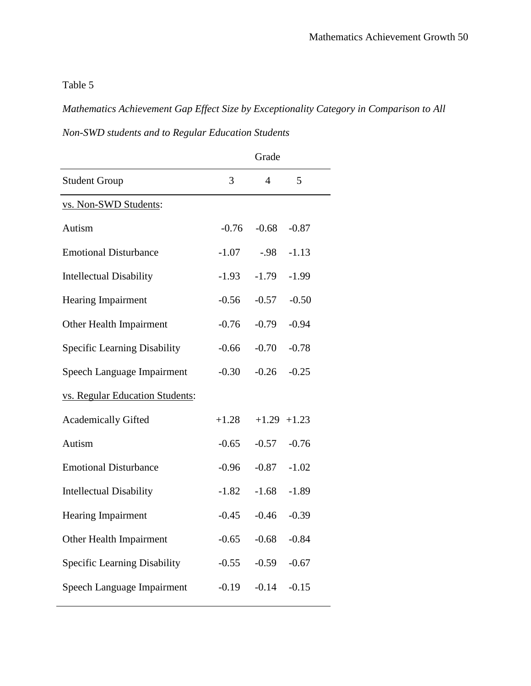*Mathematics Achievement Gap Effect Size by Exceptionality Category in Comparison to All* 

*Non-SWD students and to Regular Education Students*

|                                 |         | Grade          |                 |
|---------------------------------|---------|----------------|-----------------|
| <b>Student Group</b>            | 3       | $\overline{4}$ | 5               |
| vs. Non-SWD Students:           |         |                |                 |
| Autism                          | $-0.76$ | $-0.68$        | $-0.87$         |
| <b>Emotional Disturbance</b>    | $-1.07$ | $-.98$         | $-1.13$         |
| <b>Intellectual Disability</b>  | $-1.93$ | $-1.79$        | $-1.99$         |
| <b>Hearing Impairment</b>       | $-0.56$ | $-0.57$        | $-0.50$         |
| Other Health Impairment         | $-0.76$ | $-0.79$        | $-0.94$         |
| Specific Learning Disability    | $-0.66$ | $-0.70$        | $-0.78$         |
| Speech Language Impairment      | $-0.30$ | $-0.26$        | $-0.25$         |
| vs. Regular Education Students: |         |                |                 |
| <b>Academically Gifted</b>      | $+1.28$ |                | $+1.29$ $+1.23$ |
| Autism                          | $-0.65$ | $-0.57$        | $-0.76$         |
| <b>Emotional Disturbance</b>    | $-0.96$ | $-0.87$        | $-1.02$         |
| <b>Intellectual Disability</b>  | $-1.82$ | $-1.68$        | $-1.89$         |
| Hearing Impairment              | $-0.45$ | $-0.46$        | $-0.39$         |
| Other Health Impairment         | $-0.65$ | $-0.68$        | $-0.84$         |
| Specific Learning Disability    | $-0.55$ | $-0.59$        | $-0.67$         |
| Speech Language Impairment      | $-0.19$ | $-0.14$        | $-0.15$         |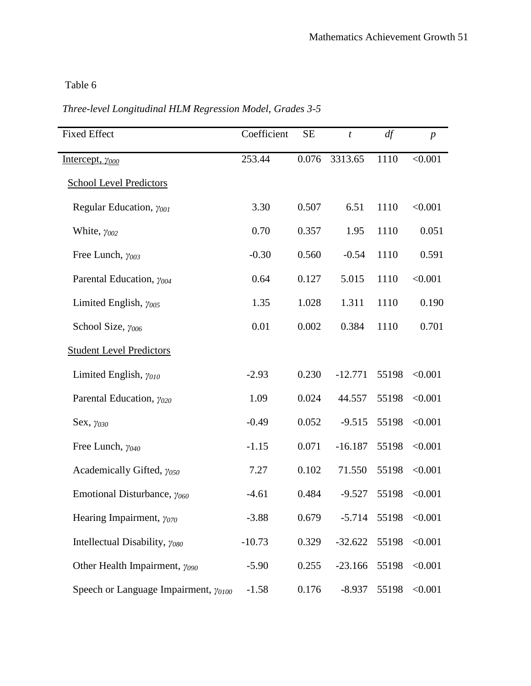| <b>Fixed Effect</b>                            | Coefficient | <b>SE</b> | $\boldsymbol{t}$ | df    | $\boldsymbol{p}$ |
|------------------------------------------------|-------------|-----------|------------------|-------|------------------|
| Intercept, $\gamma_{000}$                      | 253.44      | 0.076     | 3313.65          | 1110  | < 0.001          |
| <b>School Level Predictors</b>                 |             |           |                  |       |                  |
| Regular Education, $\gamma_{001}$              | 3.30        | 0.507     | 6.51             | 1110  | < 0.001          |
| White, $y_{002}$                               | 0.70        | 0.357     | 1.95             | 1110  | 0.051            |
| Free Lunch, $\gamma_{003}$                     | $-0.30$     | 0.560     | $-0.54$          | 1110  | 0.591            |
| Parental Education, $\gamma_{004}$             | 0.64        | 0.127     | 5.015            | 1110  | < 0.001          |
| Limited English, $\gamma_{005}$                | 1.35        | 1.028     | 1.311            | 1110  | 0.190            |
| School Size, $\gamma_{006}$                    | 0.01        | 0.002     | 0.384            | 1110  | 0.701            |
| <b>Student Level Predictors</b>                |             |           |                  |       |                  |
| Limited English, $\gamma_{010}$                | $-2.93$     | 0.230     | $-12.771$        | 55198 | < 0.001          |
| Parental Education, $\gamma_{020}$             | 1.09        | 0.024     | 44.557           | 55198 | < 0.001          |
| Sex, $\gamma_{030}$                            | $-0.49$     | 0.052     | $-9.515$         | 55198 | < 0.001          |
| Free Lunch, $\gamma_{040}$                     | $-1.15$     | 0.071     | $-16.187$        | 55198 | < 0.001          |
| Academically Gifted, $\gamma_{050}$            | 7.27        | 0.102     | 71.550           | 55198 | < 0.001          |
| Emotional Disturbance, $\gamma_{060}$          | $-4.61$     | 0.484     | $-9.527$         | 55198 | < 0.001          |
| Hearing Impairment, $\gamma_{070}$             | $-3.88$     | 0.679     | $-5.714$         | 55198 | < 0.001          |
| Intellectual Disability, $\gamma_{080}$        | $-10.73$    | 0.329     | $-32.622$        | 55198 | < 0.001          |
| Other Health Impairment, $\gamma_{090}$        | $-5.90$     | 0.255     | $-23.166$        | 55198 | < 0.001          |
| Speech or Language Impairment, $\gamma_{0100}$ | $-1.58$     | 0.176     | $-8.937$         | 55198 | < 0.001          |

*Three-level Longitudinal HLM Regression Model, Grades 3-5*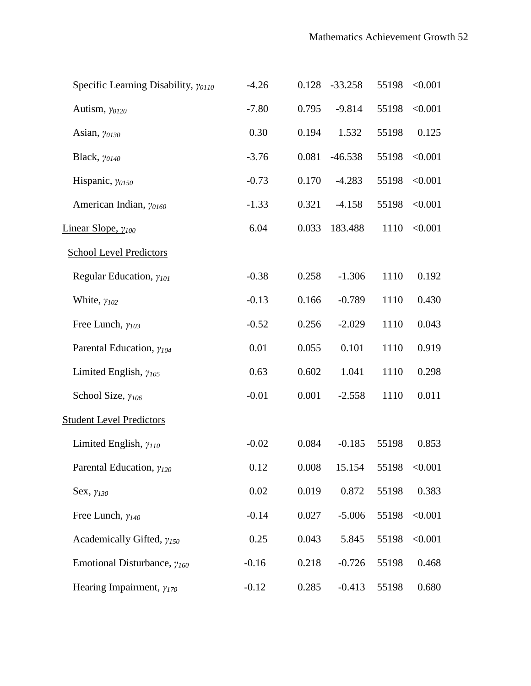| Specific Learning Disability, $\gamma_{0110}$ | $-4.26$ | 0.128 | $-33.258$ | 55198 | < 0.001 |
|-----------------------------------------------|---------|-------|-----------|-------|---------|
| Autism, $\gamma_{0120}$                       | $-7.80$ | 0.795 | $-9.814$  | 55198 | < 0.001 |
| Asian, $\gamma_{0130}$                        | 0.30    | 0.194 | 1.532     | 55198 | 0.125   |
| Black, $\gamma_{0140}$                        | $-3.76$ | 0.081 | $-46.538$ | 55198 | < 0.001 |
| Hispanic, $\gamma_{0150}$                     | $-0.73$ | 0.170 | $-4.283$  | 55198 | < 0.001 |
| American Indian, yo160                        | $-1.33$ | 0.321 | $-4.158$  | 55198 | < 0.001 |
| Linear Slope, $\gamma_{100}$                  | 6.04    | 0.033 | 183.488   | 1110  | < 0.001 |
| <b>School Level Predictors</b>                |         |       |           |       |         |
| Regular Education, $\gamma_{101}$             | $-0.38$ | 0.258 | $-1.306$  | 1110  | 0.192   |
| White, $\gamma_{102}$                         | $-0.13$ | 0.166 | $-0.789$  | 1110  | 0.430   |
| Free Lunch, $\gamma_{103}$                    | $-0.52$ | 0.256 | $-2.029$  | 1110  | 0.043   |
| Parental Education, $\gamma_{104}$            | 0.01    | 0.055 | 0.101     | 1110  | 0.919   |
| Limited English, $\gamma_{105}$               | 0.63    | 0.602 | 1.041     | 1110  | 0.298   |
| School Size, $\gamma_{106}$                   | $-0.01$ | 0.001 | $-2.558$  | 1110  | 0.011   |
| <b>Student Level Predictors</b>               |         |       |           |       |         |
| Limited English, $\gamma_{110}$               | $-0.02$ | 0.084 | $-0.185$  | 55198 | 0.853   |
| Parental Education, $\gamma_{120}$            | 0.12    | 0.008 | 15.154    | 55198 | < 0.001 |
| Sex, $\gamma_{130}$                           | 0.02    | 0.019 | 0.872     | 55198 | 0.383   |
| Free Lunch, $\gamma_{140}$                    | $-0.14$ | 0.027 | $-5.006$  | 55198 | < 0.001 |
| Academically Gifted, $\gamma_{150}$           | 0.25    | 0.043 | 5.845     | 55198 | < 0.001 |
| Emotional Disturbance, $\gamma_{160}$         | $-0.16$ | 0.218 | $-0.726$  | 55198 | 0.468   |
| Hearing Impairment, $\gamma_{170}$            | $-0.12$ | 0.285 | $-0.413$  | 55198 | 0.680   |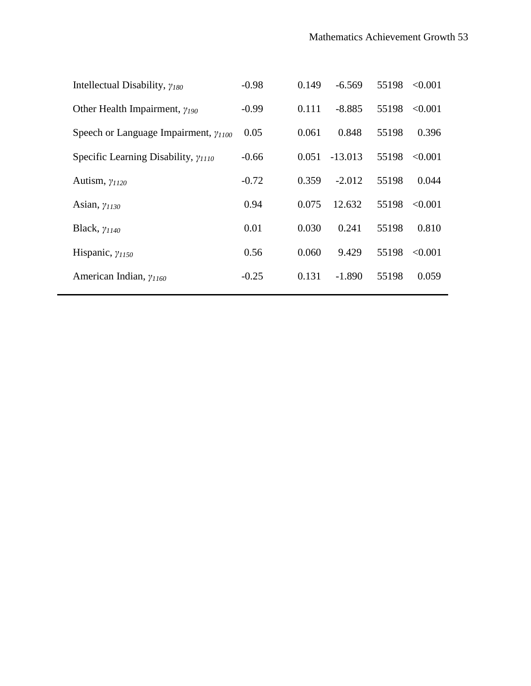| Intellectual Disability, $\gamma_{180}$        | $-0.98$ | 0.149 | $-6.569$  | 55198 | < 0.001 |
|------------------------------------------------|---------|-------|-----------|-------|---------|
| Other Health Impairment, $\gamma_{190}$        | $-0.99$ | 0.111 | $-8.885$  | 55198 | < 0.001 |
| Speech or Language Impairment, $\gamma_{1100}$ | 0.05    | 0.061 | 0.848     | 55198 | 0.396   |
| Specific Learning Disability, $\gamma_{1110}$  | $-0.66$ | 0.051 | $-13.013$ | 55198 | < 0.001 |
| Autism, $\gamma_{1120}$                        | $-0.72$ | 0.359 | $-2.012$  | 55198 | 0.044   |
| Asian, $\gamma_{1130}$                         | 0.94    | 0.075 | 12.632    | 55198 | < 0.001 |
| Black, $\gamma_{1140}$                         | 0.01    | 0.030 | 0.241     | 55198 | 0.810   |
| Hispanic, $\gamma_{1150}$                      | 0.56    | 0.060 | 9.429     | 55198 | < 0.001 |
| American Indian, $\gamma_{1160}$               | $-0.25$ | 0.131 | $-1.890$  | 55198 | 0.059   |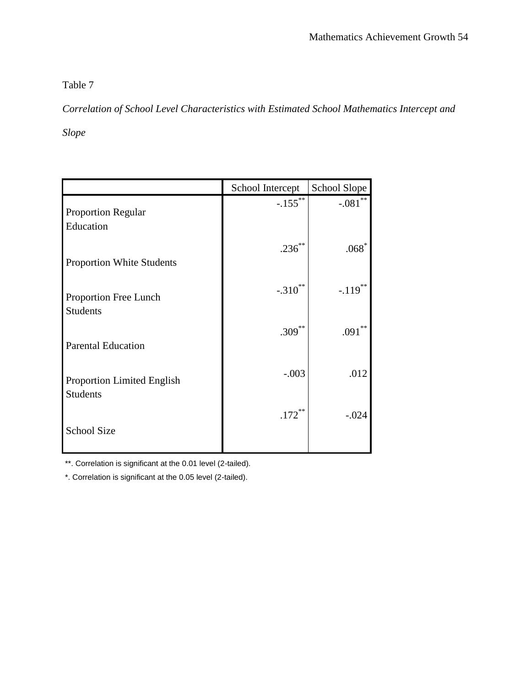*Correlation of School Level Characteristics with Estimated School Mathematics Intercept and* 

*Slope*

|                                                      | School Intercept | School Slope  |
|------------------------------------------------------|------------------|---------------|
| <b>Proportion Regular</b><br>Education               | $-.155$ **       | $-.081$       |
| <b>Proportion White Students</b>                     | $.236***$        | $.068^{\ast}$ |
| Proportion Free Lunch<br><b>Students</b>             | $-.310$ **       | $-.119***$    |
| <b>Parental Education</b>                            | $.309***$        | **<br>.091    |
| <b>Proportion Limited English</b><br><b>Students</b> | $-.003$          | .012          |
| <b>School Size</b>                                   | $.172***$        | $-.024$       |
|                                                      |                  |               |

\*\*. Correlation is significant at the 0.01 level (2-tailed).

\*. Correlation is significant at the 0.05 level (2-tailed).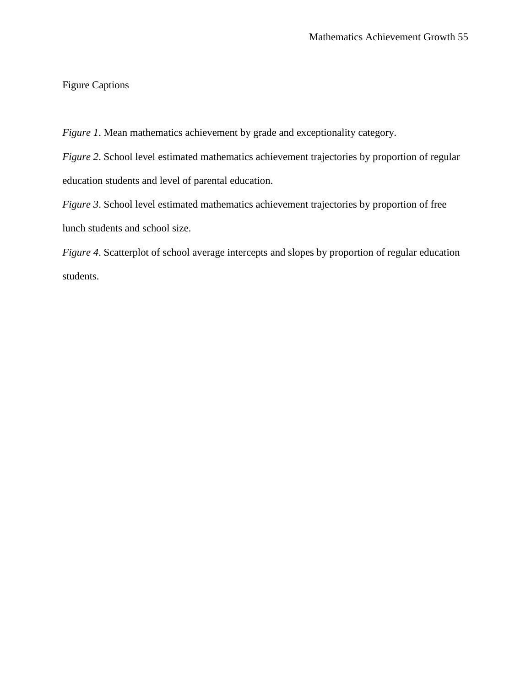### Figure Captions

*Figure 1*. Mean mathematics achievement by grade and exceptionality category.

*Figure 2*. School level estimated mathematics achievement trajectories by proportion of regular education students and level of parental education.

*Figure 3*. School level estimated mathematics achievement trajectories by proportion of free lunch students and school size.

*Figure 4*. Scatterplot of school average intercepts and slopes by proportion of regular education students.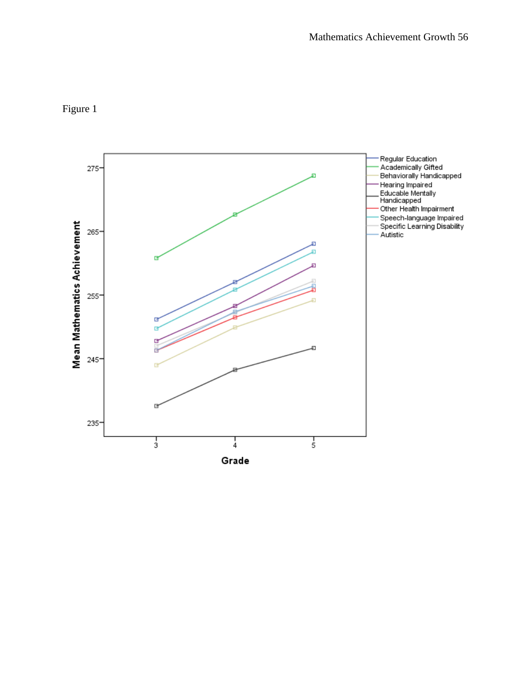

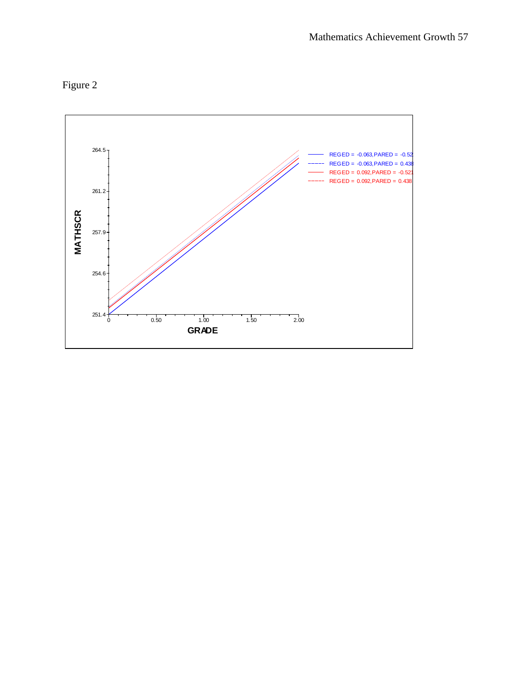

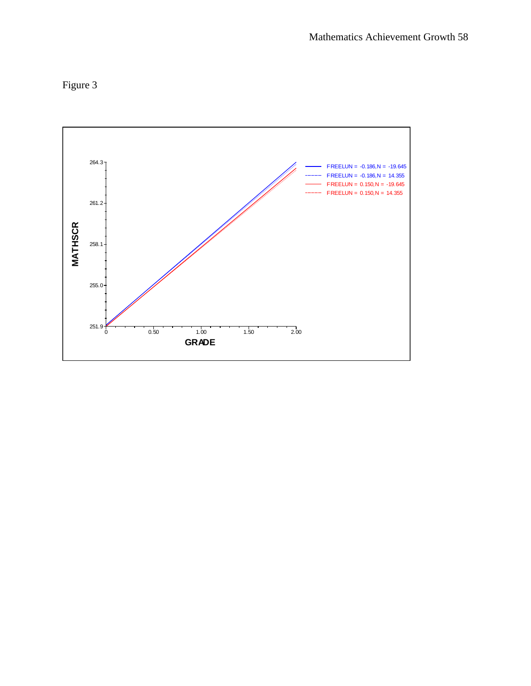